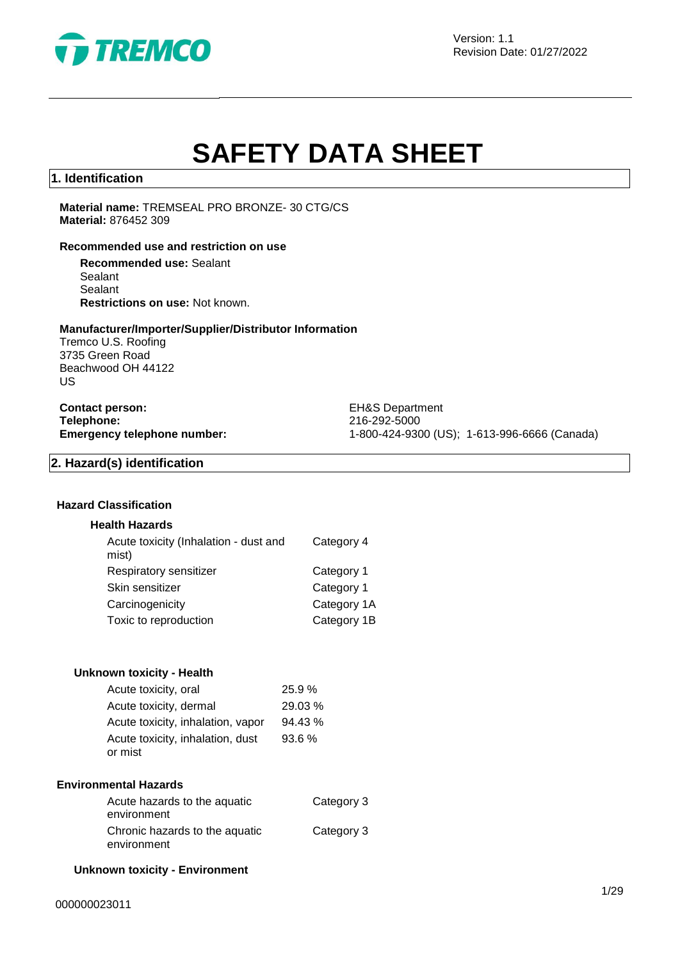

Version: 1.1 Revision Date: 01/27/2022

# **SAFETY DATA SHEET**

#### **1. Identification**

**Material name:** TREMSEAL PRO BRONZE- 30 CTG/CS **Material:** 876452 309

#### **Recommended use and restriction on use**

**Recommended use:** Sealant Sealant Sealant **Restrictions on use:** Not known.

#### **Manufacturer/Importer/Supplier/Distributor Information**

Tremco U.S. Roofing 3735 Green Road Beachwood OH 44122 US

**Contact person:** EH&S Department **Telephone:** 216-292-5000<br> **Emergency telephone number:** 216-292-5000<br>
21-800-424-930

**Emergency telephone number:** 1-800-424-9300 (US); 1-613-996-6666 (Canada)

### **2. Hazard(s) identification**

#### **Hazard Classification**

#### **Health Hazards**

| Acute toxicity (Inhalation - dust and<br>mist) | Category 4  |
|------------------------------------------------|-------------|
| Respiratory sensitizer                         | Category 1  |
| Skin sensitizer                                | Category 1  |
| Carcinogenicity                                | Category 1A |
| Toxic to reproduction                          | Category 1B |
|                                                |             |

#### **Unknown toxicity - Health**

| Acute toxicity, oral              | 25.9%   |
|-----------------------------------|---------|
| Acute toxicity, dermal            | 29.03 % |
| Acute toxicity, inhalation, vapor | 94.43 % |
| Acute toxicity, inhalation, dust  | 93.6%   |
| or mist                           |         |

#### **Environmental Hazards**

| Acute hazards to the aquatic   | Category 3 |
|--------------------------------|------------|
| environment                    |            |
| Chronic hazards to the aquatic | Category 3 |
| environment                    |            |

#### **Unknown toxicity - Environment**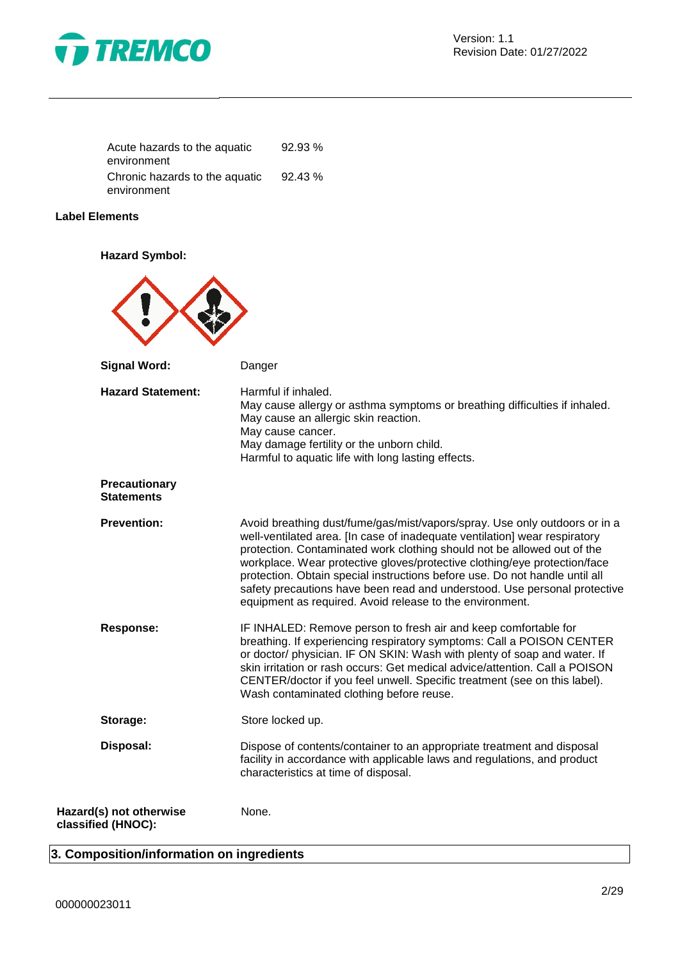

| Acute hazards to the aquatic   | 92.93%  |
|--------------------------------|---------|
| environment                    |         |
| Chronic hazards to the aquatic | 92.43 % |
| environment                    |         |

#### **Label Elements**

**Hazard Symbol:**

| <b>Signal Word:</b>                           | Danger                                                                                                                                                                                                                                                                                                                                                                                                                                                                                                                                   |
|-----------------------------------------------|------------------------------------------------------------------------------------------------------------------------------------------------------------------------------------------------------------------------------------------------------------------------------------------------------------------------------------------------------------------------------------------------------------------------------------------------------------------------------------------------------------------------------------------|
| <b>Hazard Statement:</b>                      | Harmful if inhaled.<br>May cause allergy or asthma symptoms or breathing difficulties if inhaled.<br>May cause an allergic skin reaction.<br>May cause cancer.<br>May damage fertility or the unborn child.<br>Harmful to aquatic life with long lasting effects.                                                                                                                                                                                                                                                                        |
| Precautionary<br><b>Statements</b>            |                                                                                                                                                                                                                                                                                                                                                                                                                                                                                                                                          |
| <b>Prevention:</b>                            | Avoid breathing dust/fume/gas/mist/vapors/spray. Use only outdoors or in a<br>well-ventilated area. [In case of inadequate ventilation] wear respiratory<br>protection. Contaminated work clothing should not be allowed out of the<br>workplace. Wear protective gloves/protective clothing/eye protection/face<br>protection. Obtain special instructions before use. Do not handle until all<br>safety precautions have been read and understood. Use personal protective<br>equipment as required. Avoid release to the environment. |
| <b>Response:</b>                              | IF INHALED: Remove person to fresh air and keep comfortable for<br>breathing. If experiencing respiratory symptoms: Call a POISON CENTER<br>or doctor/ physician. IF ON SKIN: Wash with plenty of soap and water. If<br>skin irritation or rash occurs: Get medical advice/attention. Call a POISON<br>CENTER/doctor if you feel unwell. Specific treatment (see on this label).<br>Wash contaminated clothing before reuse.                                                                                                             |
| Storage:                                      | Store locked up.                                                                                                                                                                                                                                                                                                                                                                                                                                                                                                                         |
| Disposal:                                     | Dispose of contents/container to an appropriate treatment and disposal<br>facility in accordance with applicable laws and regulations, and product<br>characteristics at time of disposal.                                                                                                                                                                                                                                                                                                                                               |
| Hazard(s) not otherwise<br>classified (HNOC): | None.                                                                                                                                                                                                                                                                                                                                                                                                                                                                                                                                    |

## **3. Composition/information on ingredients**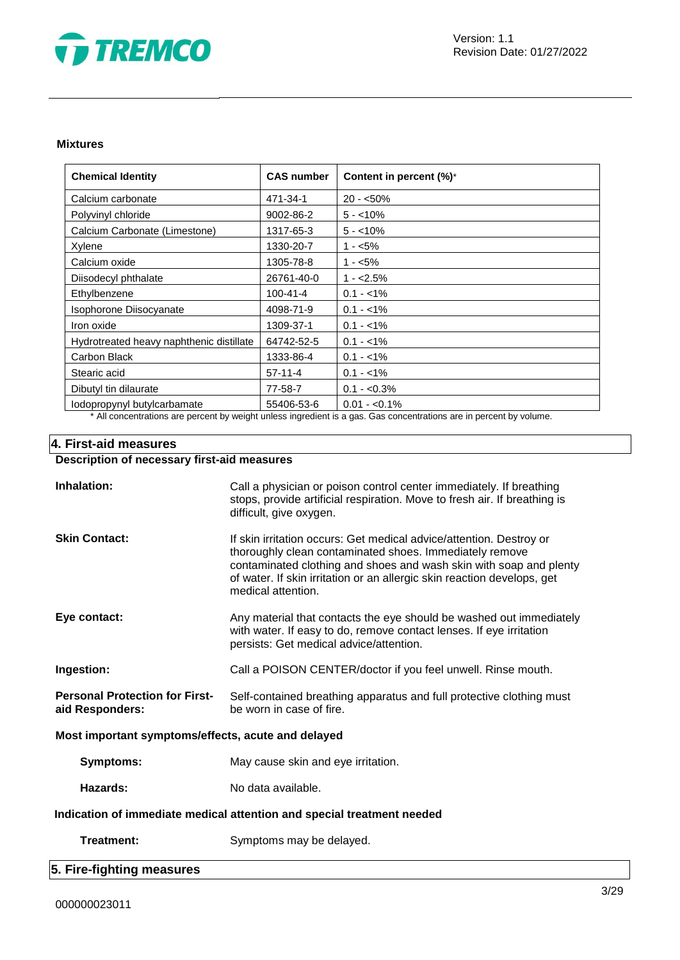

#### **Mixtures**

| <b>Chemical Identity</b>                                                                                            | <b>CAS number</b> | Content in percent (%)* |
|---------------------------------------------------------------------------------------------------------------------|-------------------|-------------------------|
| Calcium carbonate                                                                                                   | 471-34-1          | $20 - 50\%$             |
| Polyvinyl chloride                                                                                                  | 9002-86-2         | $5 - 10\%$              |
| Calcium Carbonate (Limestone)                                                                                       | 1317-65-3         | $5 - 10\%$              |
| Xylene                                                                                                              | 1330-20-7         | $1 - 5\%$               |
| Calcium oxide                                                                                                       | 1305-78-8         | $1 - 5%$                |
| Diisodecyl phthalate                                                                                                | 26761-40-0        | $1 - 2.5%$              |
| Ethylbenzene                                                                                                        | $100 - 41 - 4$    | $0.1 - 1\%$             |
| Isophorone Diisocyanate                                                                                             | 4098-71-9         | $0.1 - 1\%$             |
| Iron oxide                                                                                                          | 1309-37-1         | $0.1 - 1\%$             |
| Hydrotreated heavy naphthenic distillate                                                                            | 64742-52-5        | $0.1 - 1\%$             |
| Carbon Black                                                                                                        | 1333-86-4         | $0.1 - 1\%$             |
| Stearic acid                                                                                                        | $57-11-4$         | $0.1 - 1\%$             |
| Dibutyl tin dilaurate                                                                                               | 77-58-7           | $0.1 - 0.3\%$           |
| lodopropynyl butylcarbamate                                                                                         | 55406-53-6        | $0.01 - 0.1\%$          |
| * All concentrations are percent by weight unless ingredient is a gas. Gas concentrations are in percent by volume. |                   |                         |

### **4. First-aid measures**

# **Description of necessary first-aid measures**

| Inhalation:                                                            | Call a physician or poison control center immediately. If breathing<br>stops, provide artificial respiration. Move to fresh air. If breathing is<br>difficult, give oxygen.                                                                                                                           |  |
|------------------------------------------------------------------------|-------------------------------------------------------------------------------------------------------------------------------------------------------------------------------------------------------------------------------------------------------------------------------------------------------|--|
| <b>Skin Contact:</b>                                                   | If skin irritation occurs: Get medical advice/attention. Destroy or<br>thoroughly clean contaminated shoes. Immediately remove<br>contaminated clothing and shoes and wash skin with soap and plenty<br>of water. If skin irritation or an allergic skin reaction develops, get<br>medical attention. |  |
| Eye contact:                                                           | Any material that contacts the eye should be washed out immediately<br>with water. If easy to do, remove contact lenses. If eye irritation<br>persists: Get medical advice/attention.                                                                                                                 |  |
| Ingestion:                                                             | Call a POISON CENTER/doctor if you feel unwell. Rinse mouth.                                                                                                                                                                                                                                          |  |
| <b>Personal Protection for First-</b><br>aid Responders:               | Self-contained breathing apparatus and full protective clothing must<br>be worn in case of fire.                                                                                                                                                                                                      |  |
| Most important symptoms/effects, acute and delayed                     |                                                                                                                                                                                                                                                                                                       |  |
| Symptoms:                                                              | May cause skin and eye irritation.                                                                                                                                                                                                                                                                    |  |
| Hazards:                                                               | No data available.                                                                                                                                                                                                                                                                                    |  |
| Indication of immediate medical attention and special treatment needed |                                                                                                                                                                                                                                                                                                       |  |
| Treatment:                                                             | Symptoms may be delayed.                                                                                                                                                                                                                                                                              |  |
| 5. Fire-fighting measures                                              |                                                                                                                                                                                                                                                                                                       |  |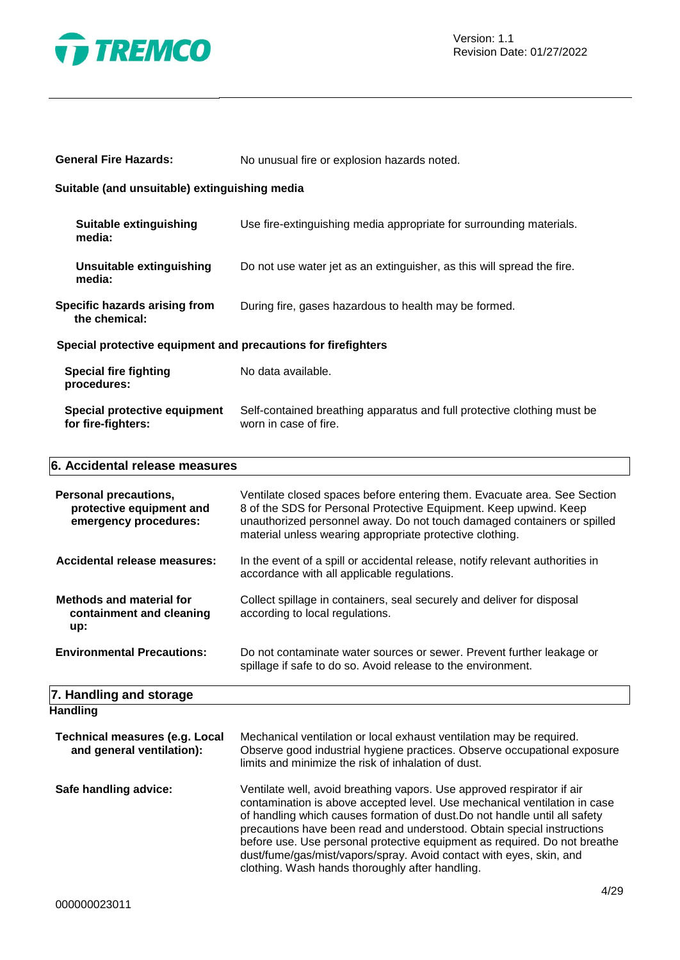

| <b>Personal precautions,</b><br>protective equipment and<br>emergency procedures: | Ventilate closed spaces before entering them. Evacuate area. See Section<br>8 of the SDS for Personal Protective Equipment. Keep upwind. Keep<br>unauthorized personnel away. Do not touch damaged containers or spilled<br>material unless wearing appropriate protective clothing. |  |  |
|-----------------------------------------------------------------------------------|--------------------------------------------------------------------------------------------------------------------------------------------------------------------------------------------------------------------------------------------------------------------------------------|--|--|
| 6. Accidental release measures                                                    |                                                                                                                                                                                                                                                                                      |  |  |
| Special protective equipment<br>for fire-fighters:                                | Self-contained breathing apparatus and full protective clothing must be<br>worn in case of fire.                                                                                                                                                                                     |  |  |
| <b>Special fire fighting</b><br>procedures:                                       | No data available.                                                                                                                                                                                                                                                                   |  |  |
| Special protective equipment and precautions for firefighters                     |                                                                                                                                                                                                                                                                                      |  |  |
| Specific hazards arising from<br>the chemical:                                    | During fire, gases hazardous to health may be formed.                                                                                                                                                                                                                                |  |  |
| <b>Unsuitable extinguishing</b><br>media:                                         | Do not use water jet as an extinguisher, as this will spread the fire.                                                                                                                                                                                                               |  |  |
| <b>Suitable extinguishing</b><br>media:                                           | Use fire-extinguishing media appropriate for surrounding materials.                                                                                                                                                                                                                  |  |  |
| Suitable (and unsuitable) extinguishing media                                     |                                                                                                                                                                                                                                                                                      |  |  |
| <b>General Fire Hazards:</b>                                                      | No unusual fire or explosion hazards noted.                                                                                                                                                                                                                                          |  |  |

**Accidental release measures:** In the event of a spill or accidental release, notify relevant authorities in accordance with all applicable regulations.

| <b>Methods and material for</b> | Collect spillage in containers, seal securely and deliver for disposal |
|---------------------------------|------------------------------------------------------------------------|
| containment and cleaning        | according to local regulations.                                        |
| up:                             |                                                                        |

**Environmental Precautions:** Do not contaminate water sources or sewer. Prevent further leakage or spillage if safe to do so. Avoid release to the environment.

#### **7. Handling and storage Handling**

| ı ıalıullu                                                         |                                                                                                                                                                                                                                                                                                                                                                                                                                                                                                                    |
|--------------------------------------------------------------------|--------------------------------------------------------------------------------------------------------------------------------------------------------------------------------------------------------------------------------------------------------------------------------------------------------------------------------------------------------------------------------------------------------------------------------------------------------------------------------------------------------------------|
| <b>Technical measures (e.g. Local</b><br>and general ventilation): | Mechanical ventilation or local exhaust ventilation may be required.<br>Observe good industrial hygiene practices. Observe occupational exposure<br>limits and minimize the risk of inhalation of dust.                                                                                                                                                                                                                                                                                                            |
| Safe handling advice:                                              | Ventilate well, avoid breathing vapors. Use approved respirator if air<br>contamination is above accepted level. Use mechanical ventilation in case<br>of handling which causes formation of dust. Do not handle until all safety<br>precautions have been read and understood. Obtain special instructions<br>before use. Use personal protective equipment as required. Do not breathe<br>dust/fume/gas/mist/vapors/spray. Avoid contact with eyes, skin, and<br>clothing. Wash hands thoroughly after handling. |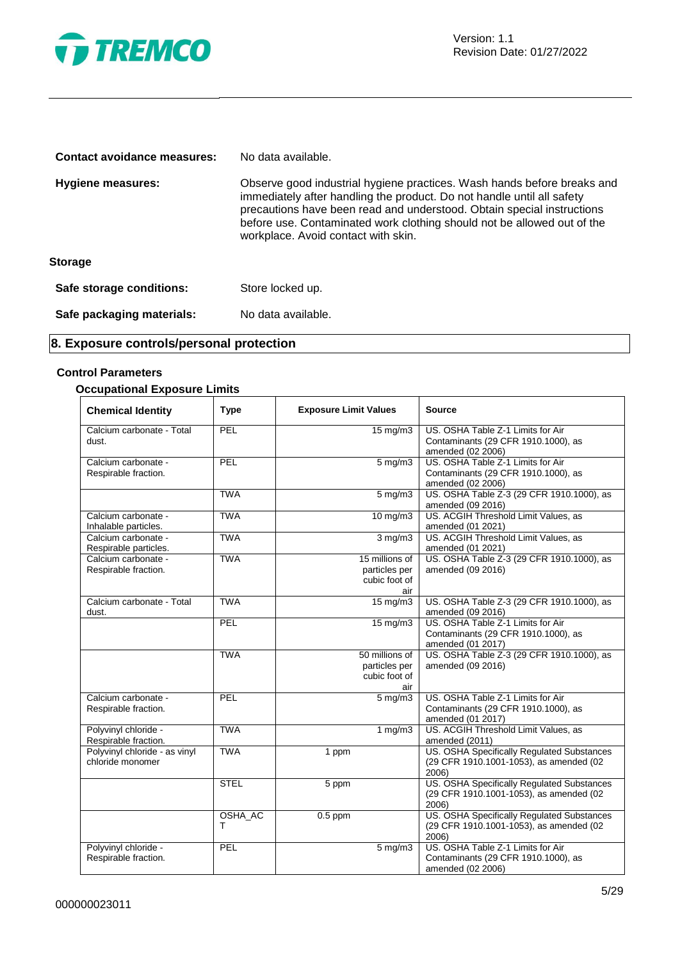

| Contact avoidance measures: | No data available.                                                                                                                                                                                                                                                                                                                            |
|-----------------------------|-----------------------------------------------------------------------------------------------------------------------------------------------------------------------------------------------------------------------------------------------------------------------------------------------------------------------------------------------|
| <b>Hygiene measures:</b>    | Observe good industrial hygiene practices. Wash hands before breaks and<br>immediately after handling the product. Do not handle until all safety<br>precautions have been read and understood. Obtain special instructions<br>before use. Contaminated work clothing should not be allowed out of the<br>workplace. Avoid contact with skin. |
| <b>Storage</b>              |                                                                                                                                                                                                                                                                                                                                               |
| Safe storage conditions:    | Store locked up.                                                                                                                                                                                                                                                                                                                              |
| Safe packaging materials:   | No data available.                                                                                                                                                                                                                                                                                                                            |

# **8. Exposure controls/personal protection**

#### **Control Parameters**

#### **Occupational Exposure Limits**

| <b>Chemical Identity</b>                          | <b>Type</b>  | <b>Exposure Limit Values</b>                            | <b>Source</b>                                                                                  |
|---------------------------------------------------|--------------|---------------------------------------------------------|------------------------------------------------------------------------------------------------|
| Calcium carbonate - Total<br>dust.                | PEL          | $15 \text{ mg/m}$                                       | US. OSHA Table Z-1 Limits for Air<br>Contaminants (29 CFR 1910.1000), as<br>amended (02 2006)  |
| Calcium carbonate -<br>Respirable fraction.       | PEL          | $5$ mg/m $3$                                            | US. OSHA Table Z-1 Limits for Air<br>Contaminants (29 CFR 1910.1000), as<br>amended (02 2006)  |
|                                                   | <b>TWA</b>   | $5$ mg/m $3$                                            | US. OSHA Table Z-3 (29 CFR 1910.1000), as<br>amended (09 2016)                                 |
| Calcium carbonate -<br>Inhalable particles.       | <b>TWA</b>   | $10 \text{ mg/m}$                                       | US. ACGIH Threshold Limit Values, as<br>amended (01 2021)                                      |
| Calcium carbonate -<br>Respirable particles.      | <b>TWA</b>   | $3 \overline{\mathrm{mg}}$ m3                           | US. ACGIH Threshold Limit Values, as<br>amended (01 2021)                                      |
| Calcium carbonate -<br>Respirable fraction.       | <b>TWA</b>   | 15 millions of<br>particles per<br>cubic foot of<br>air | US. OSHA Table Z-3 (29 CFR 1910.1000), as<br>amended (09 2016)                                 |
| Calcium carbonate - Total<br>dust.                | <b>TWA</b>   | 15 mg/m3                                                | US. OSHA Table Z-3 (29 CFR 1910.1000), as<br>amended (09 2016)                                 |
|                                                   | PEL          | $15 \text{ mg/m}$                                       | US. OSHA Table Z-1 Limits for Air<br>Contaminants (29 CFR 1910.1000), as<br>amended (01 2017)  |
|                                                   | <b>TWA</b>   | 50 millions of<br>particles per<br>cubic foot of<br>air | US. OSHA Table Z-3 (29 CFR 1910.1000), as<br>amended (09 2016)                                 |
| Calcium carbonate -<br>Respirable fraction.       | PEL          | $\overline{5}$ mg/m3                                    | US. OSHA Table Z-1 Limits for Air<br>Contaminants (29 CFR 1910.1000), as<br>amended (01 2017)  |
| Polyvinyl chloride -<br>Respirable fraction.      | <b>TWA</b>   | 1 $mg/m3$                                               | US. ACGIH Threshold Limit Values, as<br>amended (2011)                                         |
| Polyvinyl chloride - as vinyl<br>chloride monomer | <b>TWA</b>   | 1 ppm                                                   | US. OSHA Specifically Regulated Substances<br>(29 CFR 1910.1001-1053), as amended (02<br>2006) |
|                                                   | <b>STEL</b>  | 5 ppm                                                   | US. OSHA Specifically Regulated Substances<br>(29 CFR 1910.1001-1053), as amended (02<br>2006) |
|                                                   | OSHA_AC<br>т | $0.5$ ppm                                               | US. OSHA Specifically Regulated Substances<br>(29 CFR 1910.1001-1053), as amended (02<br>2006) |
| Polyvinyl chloride -<br>Respirable fraction.      | PEL          | $5 \overline{\mathrm{mg}}$ m3                           | US. OSHA Table Z-1 Limits for Air<br>Contaminants (29 CFR 1910.1000), as<br>amended (02 2006)  |

Ξ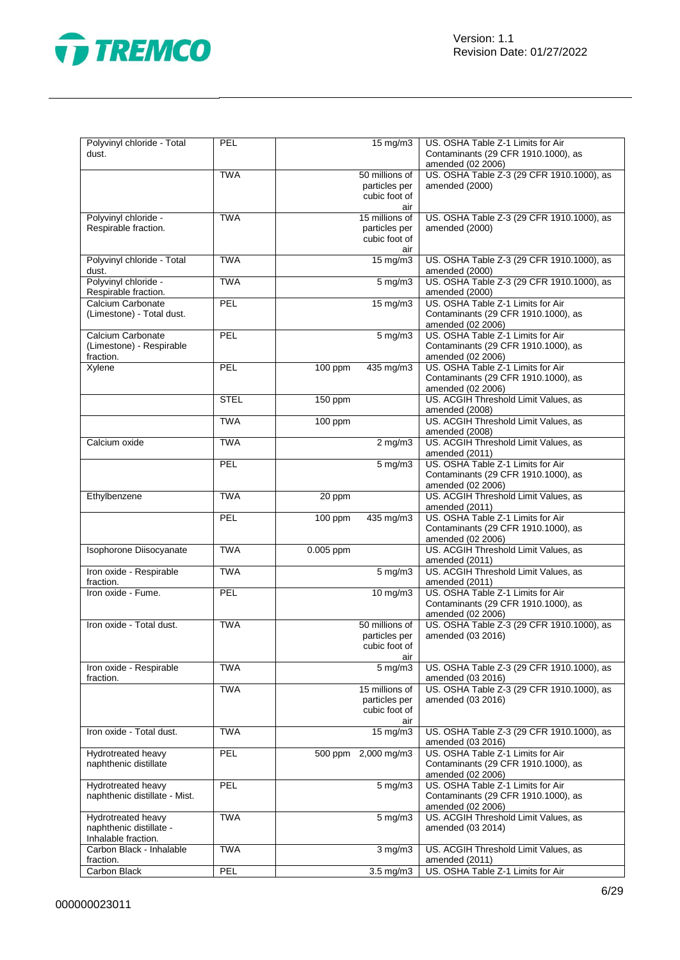

| Polyvinyl chloride - Total<br>dust.                                  | PEL         | 15 mg/m3                                                | US. OSHA Table Z-1 Limits for Air<br>Contaminants (29 CFR 1910.1000), as<br>amended (02 2006) |
|----------------------------------------------------------------------|-------------|---------------------------------------------------------|-----------------------------------------------------------------------------------------------|
|                                                                      | <b>TWA</b>  | 50 millions of<br>particles per<br>cubic foot of<br>air | US. OSHA Table Z-3 (29 CFR 1910.1000), as<br>amended (2000)                                   |
| Polyvinyl chloride -<br>Respirable fraction.                         | <b>TWA</b>  | 15 millions of<br>particles per<br>cubic foot of<br>air | US. OSHA Table Z-3 (29 CFR 1910.1000), as<br>amended (2000)                                   |
| Polyvinyl chloride - Total<br>dust.                                  | <b>TWA</b>  | 15 mg/m3                                                | US. OSHA Table Z-3 (29 CFR 1910.1000), as<br>amended (2000)                                   |
| Polyvinyl chloride -<br>Respirable fraction.                         | <b>TWA</b>  | $5 \overline{\mathrm{mg}}$ m3                           | US. OSHA Table Z-3 (29 CFR 1910.1000), as<br>amended (2000)                                   |
| Calcium Carbonate<br>(Limestone) - Total dust.                       | PEL         | $15 \text{ mg/m}$                                       | US. OSHA Table Z-1 Limits for Air<br>Contaminants (29 CFR 1910.1000), as<br>amended (02 2006) |
| Calcium Carbonate<br>(Limestone) - Respirable<br>fraction.           | PEL         | $5$ mg/m $3$                                            | US. OSHA Table Z-1 Limits for Air<br>Contaminants (29 CFR 1910.1000), as<br>amended (02 2006) |
| Xylene                                                               | PEL         | 100 ppm<br>435 mg/m3                                    | US. OSHA Table Z-1 Limits for Air<br>Contaminants (29 CFR 1910.1000), as<br>amended (02 2006) |
|                                                                      | <b>STEL</b> | 150 ppm                                                 | US. ACGIH Threshold Limit Values, as<br>amended (2008)                                        |
|                                                                      | <b>TWA</b>  | 100 ppm                                                 | US. ACGIH Threshold Limit Values, as<br>amended (2008)                                        |
| Calcium oxide                                                        | <b>TWA</b>  | $2 \overline{\text{mg}}$ m3                             | US. ACGIH Threshold Limit Values, as<br>amended (2011)                                        |
|                                                                      | <b>PEL</b>  | $5$ mg/m $3$                                            | US. OSHA Table Z-1 Limits for Air<br>Contaminants (29 CFR 1910.1000), as<br>amended (02 2006) |
| Ethylbenzene                                                         | <b>TWA</b>  | 20 ppm                                                  | US. ACGIH Threshold Limit Values, as<br>amended (2011)                                        |
|                                                                      | PEL         | 100 ppm<br>435 mg/m3                                    | US. OSHA Table Z-1 Limits for Air<br>Contaminants (29 CFR 1910.1000), as<br>amended (02 2006) |
| Isophorone Diisocyanate                                              | <b>TWA</b>  | 0.005 ppm                                               | US. ACGIH Threshold Limit Values, as<br>amended (2011)                                        |
| Iron oxide - Respirable<br>fraction.                                 | <b>TWA</b>  | $5 \overline{\mathrm{mg}}$ m3                           | US. ACGIH Threshold Limit Values, as<br>amended (2011)                                        |
| Iron oxide - Fume.                                                   | PEL         | $10$ mg/m $3$                                           | US. OSHA Table Z-1 Limits for Air<br>Contaminants (29 CFR 1910.1000), as<br>amended (02 2006) |
| Iron oxide - Total dust.                                             | <b>TWA</b>  | 50 millions of<br>particles per<br>cubic foot of<br>air | US. OSHA Table Z-3 (29 CFR 1910.1000), as<br>amended (03 2016)                                |
| Iron oxide - Respirable<br>fraction.                                 | <b>TWA</b>  | $5$ mg/m $3$                                            | US. OSHA Table Z-3 (29 CFR 1910.1000), as<br>amended (03 2016)                                |
|                                                                      | <b>TWA</b>  | 15 millions of<br>particles per<br>cubic foot of<br>air | US. OSHA Table Z-3 (29 CFR 1910.1000), as<br>amended (03 2016)                                |
| Iron oxide - Total dust.                                             | <b>TWA</b>  | 15 mg/m3                                                | US. OSHA Table Z-3 (29 CFR 1910.1000), as<br>amended (03 2016)                                |
| Hydrotreated heavy<br>naphthenic distillate                          | PEL         | 500 ppm 2,000 mg/m3                                     | US. OSHA Table Z-1 Limits for Air<br>Contaminants (29 CFR 1910.1000), as<br>amended (02 2006) |
| Hydrotreated heavy<br>naphthenic distillate - Mist.                  | PEL         | $5 \text{ mg/m}$                                        | US. OSHA Table Z-1 Limits for Air<br>Contaminants (29 CFR 1910.1000), as<br>amended (02 2006) |
| Hydrotreated heavy<br>naphthenic distillate -<br>Inhalable fraction. | <b>TWA</b>  | $5 \text{ mg/m}$ 3                                      | US. ACGIH Threshold Limit Values, as<br>amended (03 2014)                                     |
| Carbon Black - Inhalable<br>fraction.                                | <b>TWA</b>  | $3$ mg/m $3$                                            | US. ACGIH Threshold Limit Values, as<br>amended (2011)                                        |
| Carbon Black                                                         | PEL         | $3.5$ mg/m $3$                                          | US. OSHA Table Z-1 Limits for Air                                                             |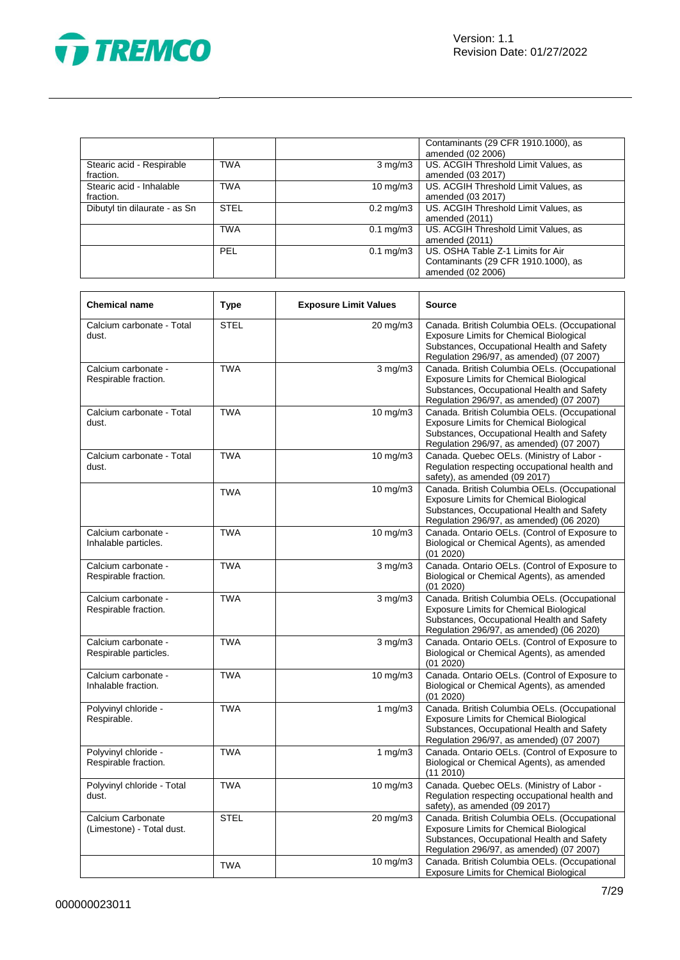

|                               |             |                      | Contaminants (29 CFR 1910.1000), as  |
|-------------------------------|-------------|----------------------|--------------------------------------|
|                               |             |                      | amended (02 2006)                    |
| Stearic acid - Respirable     | <b>TWA</b>  | $3 \text{ mg/m}$     | US. ACGIH Threshold Limit Values, as |
| fraction.                     |             |                      | amended (03 2017)                    |
| Stearic acid - Inhalable      | <b>TWA</b>  | $10 \text{ mg/m}$    | US. ACGIH Threshold Limit Values, as |
| fraction.                     |             |                      | amended (03 2017)                    |
| Dibutyl tin dilaurate - as Sn | <b>STEL</b> | $0.2 \text{ mg/m}$ 3 | US. ACGIH Threshold Limit Values, as |
|                               |             |                      | amended (2011)                       |
|                               | <b>TWA</b>  | $0.1 \text{ mg/m}$ 3 | US. ACGIH Threshold Limit Values, as |
|                               |             |                      | amended (2011)                       |
|                               | <b>PEL</b>  | $0.1 \text{ mg/m}$ 3 | US. OSHA Table Z-1 Limits for Air    |
|                               |             |                      | Contaminants (29 CFR 1910.1000), as  |
|                               |             |                      | amended (02 2006)                    |

| <b>Chemical name</b>                           | <b>Type</b> | <b>Exposure Limit Values</b> | <b>Source</b>                                                                                                                                                                            |
|------------------------------------------------|-------------|------------------------------|------------------------------------------------------------------------------------------------------------------------------------------------------------------------------------------|
| Calcium carbonate - Total<br>dust.             | <b>STEL</b> | 20 mg/m3                     | Canada. British Columbia OELs. (Occupational<br><b>Exposure Limits for Chemical Biological</b><br>Substances, Occupational Health and Safety<br>Regulation 296/97, as amended) (07 2007) |
| Calcium carbonate -<br>Respirable fraction.    | <b>TWA</b>  | $3$ mg/m $3$                 | Canada. British Columbia OELs. (Occupational<br>Exposure Limits for Chemical Biological<br>Substances, Occupational Health and Safety<br>Regulation 296/97, as amended) (07 2007)        |
| Calcium carbonate - Total<br>dust.             | <b>TWA</b>  | 10 mg/m3                     | Canada. British Columbia OELs. (Occupational<br>Exposure Limits for Chemical Biological<br>Substances, Occupational Health and Safety<br>Regulation 296/97, as amended) (07 2007)        |
| Calcium carbonate - Total<br>dust.             | <b>TWA</b>  | 10 mg/m3                     | Canada. Quebec OELs. (Ministry of Labor -<br>Regulation respecting occupational health and<br>safety), as amended (09 2017)                                                              |
|                                                | <b>TWA</b>  | $10$ mg/m $3$                | Canada. British Columbia OELs. (Occupational<br>Exposure Limits for Chemical Biological<br>Substances, Occupational Health and Safety<br>Regulation 296/97, as amended) (06 2020)        |
| Calcium carbonate -<br>Inhalable particles.    | <b>TWA</b>  | $10 \text{ mg/m}$ 3          | Canada. Ontario OELs. (Control of Exposure to<br>Biological or Chemical Agents), as amended<br>(01 2020)                                                                                 |
| Calcium carbonate -<br>Respirable fraction.    | <b>TWA</b>  | $3 \text{ mg/m}$             | Canada. Ontario OELs. (Control of Exposure to<br>Biological or Chemical Agents), as amended<br>(01 2020)                                                                                 |
| Calcium carbonate -<br>Respirable fraction.    | <b>TWA</b>  | $3$ mg/m $3$                 | Canada. British Columbia OELs. (Occupational<br>Exposure Limits for Chemical Biological<br>Substances, Occupational Health and Safety<br>Regulation 296/97, as amended) (06 2020)        |
| Calcium carbonate -<br>Respirable particles.   | <b>TWA</b>  | $3 \text{ mg/m}$             | Canada. Ontario OELs. (Control of Exposure to<br>Biological or Chemical Agents), as amended<br>(01 2020)                                                                                 |
| Calcium carbonate -<br>Inhalable fraction.     | <b>TWA</b>  | $10 \text{ mg/m}$ 3          | Canada. Ontario OELs. (Control of Exposure to<br>Biological or Chemical Agents), as amended<br>(01 2020)                                                                                 |
| Polyvinyl chloride -<br>Respirable.            | <b>TWA</b>  | 1 $mg/m3$                    | Canada. British Columbia OELs. (Occupational<br>Exposure Limits for Chemical Biological<br>Substances, Occupational Health and Safety<br>Regulation 296/97, as amended) (07 2007)        |
| Polyvinyl chloride -<br>Respirable fraction.   | <b>TWA</b>  | 1 $mg/m3$                    | Canada. Ontario OELs. (Control of Exposure to<br>Biological or Chemical Agents), as amended<br>(11 2010)                                                                                 |
| Polyvinyl chloride - Total<br>dust.            | <b>TWA</b>  | 10 mg/m3                     | Canada. Quebec OELs. (Ministry of Labor -<br>Regulation respecting occupational health and<br>safety), as amended (09 2017)                                                              |
| Calcium Carbonate<br>(Limestone) - Total dust. | <b>STEL</b> | 20 mg/m3                     | Canada. British Columbia OELs. (Occupational<br><b>Exposure Limits for Chemical Biological</b><br>Substances, Occupational Health and Safety<br>Regulation 296/97, as amended) (07 2007) |
|                                                | <b>TWA</b>  | 10 mg/m3                     | Canada. British Columbia OELs. (Occupational<br><b>Exposure Limits for Chemical Biological</b>                                                                                           |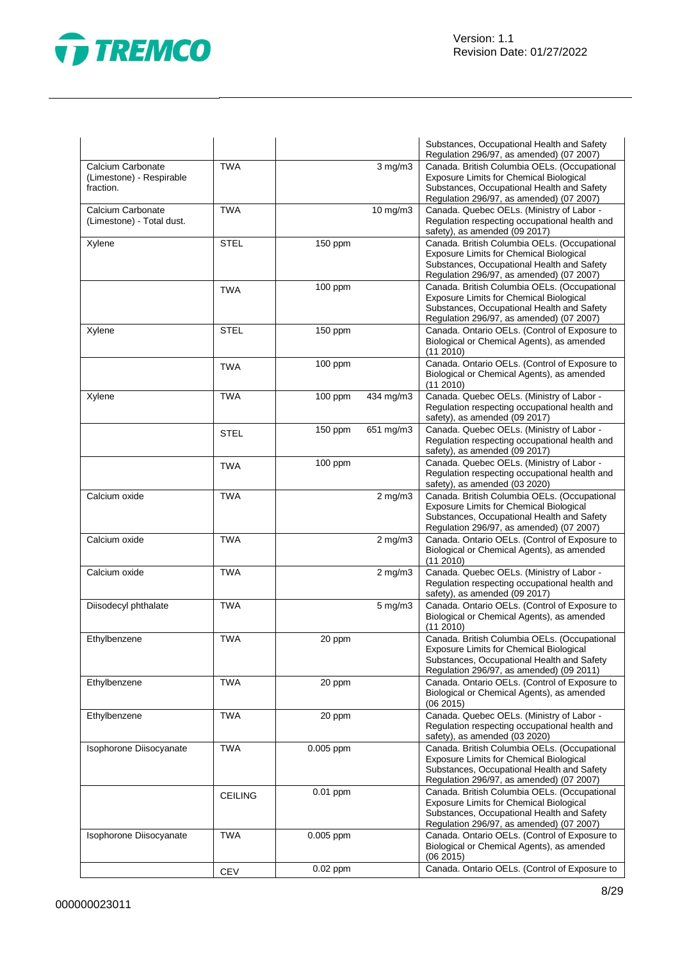

|                                                            |                |            |                  | Substances, Occupational Health and Safety<br>Regulation 296/97, as amended) (07 2007)                                                                                                   |
|------------------------------------------------------------|----------------|------------|------------------|------------------------------------------------------------------------------------------------------------------------------------------------------------------------------------------|
| Calcium Carbonate<br>(Limestone) - Respirable<br>fraction. | <b>TWA</b>     |            | $3$ mg/m $3$     | Canada. British Columbia OELs. (Occupational<br><b>Exposure Limits for Chemical Biological</b><br>Substances, Occupational Health and Safety<br>Regulation 296/97, as amended) (07 2007) |
| Calcium Carbonate<br>(Limestone) - Total dust.             | <b>TWA</b>     |            | 10 mg/m3         | Canada. Quebec OELs. (Ministry of Labor -<br>Regulation respecting occupational health and<br>safety), as amended (09 2017)                                                              |
| Xylene                                                     | <b>STEL</b>    | 150 ppm    |                  | Canada. British Columbia OELs. (Occupational<br><b>Exposure Limits for Chemical Biological</b><br>Substances, Occupational Health and Safety<br>Regulation 296/97, as amended) (07 2007) |
|                                                            | <b>TWA</b>     | 100 ppm    |                  | Canada. British Columbia OELs. (Occupational<br><b>Exposure Limits for Chemical Biological</b><br>Substances, Occupational Health and Safety<br>Regulation 296/97, as amended) (07 2007) |
| Xylene                                                     | STEL           | 150 ppm    |                  | Canada. Ontario OELs. (Control of Exposure to<br>Biological or Chemical Agents), as amended<br>(11 2010)                                                                                 |
|                                                            | <b>TWA</b>     | 100 ppm    |                  | Canada. Ontario OELs. (Control of Exposure to<br>Biological or Chemical Agents), as amended<br>(11 2010)                                                                                 |
| Xylene                                                     | <b>TWA</b>     | 100 ppm    | 434 mg/m3        | Canada. Quebec OELs. (Ministry of Labor -<br>Regulation respecting occupational health and<br>safety), as amended (09 2017)                                                              |
|                                                            | <b>STEL</b>    | 150 ppm    | 651 mg/m3        | Canada. Quebec OELs. (Ministry of Labor -<br>Regulation respecting occupational health and<br>safety), as amended (09 2017)                                                              |
|                                                            | <b>TWA</b>     | 100 ppm    |                  | Canada. Quebec OELs. (Ministry of Labor -<br>Regulation respecting occupational health and<br>safety), as amended (03 2020)                                                              |
| Calcium oxide                                              | <b>TWA</b>     |            | $2$ mg/m $3$     | Canada. British Columbia OELs. (Occupational<br>Exposure Limits for Chemical Biological<br>Substances, Occupational Health and Safety<br>Regulation 296/97, as amended) (07 2007)        |
| Calcium oxide                                              | <b>TWA</b>     |            | $2$ mg/m $3$     | Canada. Ontario OELs. (Control of Exposure to<br>Biological or Chemical Agents), as amended<br>(11 2010)                                                                                 |
| Calcium oxide                                              | <b>TWA</b>     |            | $2$ mg/m $3$     | Canada. Quebec OELs. (Ministry of Labor -<br>Regulation respecting occupational health and<br>safety), as amended (09 2017)                                                              |
| Diisodecyl phthalate                                       | <b>TWA</b>     |            | $5 \text{ mg/m}$ | Canada. Ontario OELs. (Control of Exposure to<br>Biological or Chemical Agents), as amended<br>(11 2010)                                                                                 |
| Ethylbenzene                                               | <b>TWA</b>     | 20 ppm     |                  | Canada. British Columbia OELs. (Occupational<br>Exposure Limits for Chemical Biological<br>Substances, Occupational Health and Safety<br>Regulation 296/97, as amended) (09 2011)        |
| Ethylbenzene                                               | <b>TWA</b>     | 20 ppm     |                  | Canada. Ontario OELs. (Control of Exposure to<br>Biological or Chemical Agents), as amended<br>(06 2015)                                                                                 |
| Ethylbenzene                                               | <b>TWA</b>     | 20 ppm     |                  | Canada. Quebec OELs. (Ministry of Labor -<br>Regulation respecting occupational health and<br>safety), as amended (03 2020)                                                              |
| Isophorone Diisocyanate                                    | <b>TWA</b>     | 0.005 ppm  |                  | Canada. British Columbia OELs. (Occupational<br>Exposure Limits for Chemical Biological<br>Substances, Occupational Health and Safety<br>Regulation 296/97, as amended) (07 2007)        |
|                                                            | <b>CEILING</b> | $0.01$ ppm |                  | Canada. British Columbia OELs. (Occupational<br><b>Exposure Limits for Chemical Biological</b><br>Substances, Occupational Health and Safety<br>Regulation 296/97, as amended) (07 2007) |
| Isophorone Diisocyanate                                    | <b>TWA</b>     | 0.005 ppm  |                  | Canada. Ontario OELs. (Control of Exposure to<br>Biological or Chemical Agents), as amended<br>(06 2015)                                                                                 |
|                                                            | <b>CEV</b>     | $0.02$ ppm |                  | Canada. Ontario OELs. (Control of Exposure to                                                                                                                                            |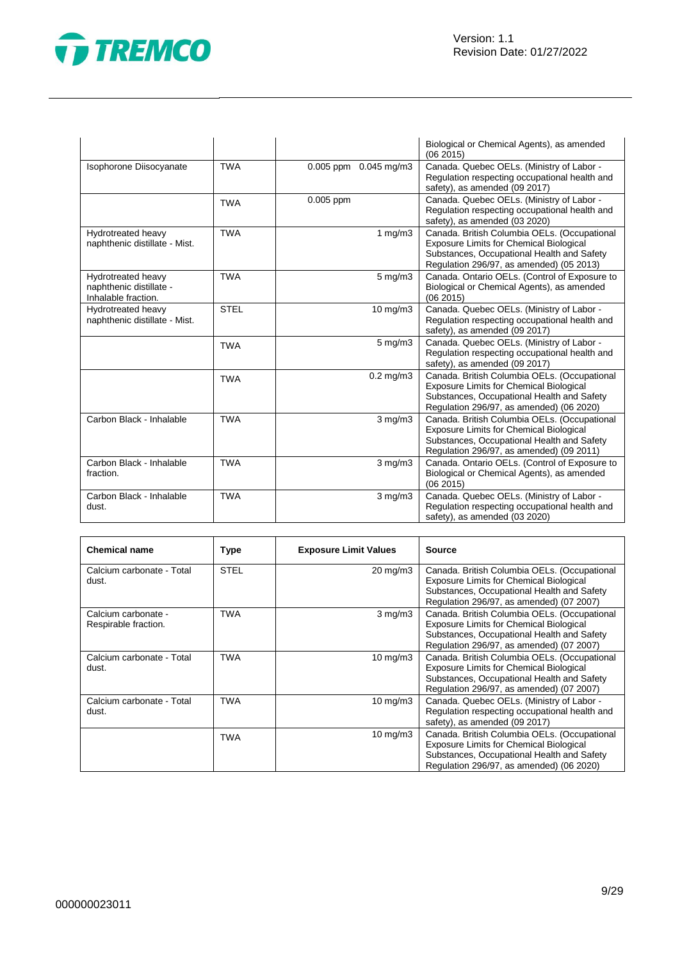

|                                                                      |             |                           | Biological or Chemical Agents), as amended<br>(06 2015)                                                                                                                                  |
|----------------------------------------------------------------------|-------------|---------------------------|------------------------------------------------------------------------------------------------------------------------------------------------------------------------------------------|
| Isophorone Diisocyanate                                              | <b>TWA</b>  | $0.005$ ppm $0.045$ mg/m3 | Canada. Quebec OELs. (Ministry of Labor -<br>Regulation respecting occupational health and<br>safety), as amended (09 2017)                                                              |
|                                                                      | <b>TWA</b>  | $0.005$ ppm               | Canada. Quebec OELs. (Ministry of Labor -<br>Regulation respecting occupational health and<br>safety), as amended (03 2020)                                                              |
| Hydrotreated heavy<br>naphthenic distillate - Mist.                  | <b>TWA</b>  | 1 $mg/m3$                 | Canada. British Columbia OELs. (Occupational<br><b>Exposure Limits for Chemical Biological</b><br>Substances, Occupational Health and Safety<br>Regulation 296/97, as amended) (05 2013) |
| Hydrotreated heavy<br>naphthenic distillate -<br>Inhalable fraction. | <b>TWA</b>  | $5$ mg/m $3$              | Canada. Ontario OELs. (Control of Exposure to<br>Biological or Chemical Agents), as amended<br>(062015)                                                                                  |
| Hydrotreated heavy<br>naphthenic distillate - Mist.                  | <b>STEL</b> | 10 mg/m3                  | Canada. Quebec OELs. (Ministry of Labor -<br>Regulation respecting occupational health and<br>safety), as amended (09 2017)                                                              |
|                                                                      | <b>TWA</b>  | $5 \text{ mg/m}$          | Canada. Quebec OELs. (Ministry of Labor -<br>Regulation respecting occupational health and<br>safety), as amended (09 2017)                                                              |
|                                                                      | <b>TWA</b>  | $0.2$ mg/m $3$            | Canada. British Columbia OELs. (Occupational<br><b>Exposure Limits for Chemical Biological</b><br>Substances, Occupational Health and Safety<br>Regulation 296/97, as amended) (06 2020) |
| Carbon Black - Inhalable                                             | <b>TWA</b>  | $3$ mg/m $3$              | Canada. British Columbia OELs. (Occupational<br>Exposure Limits for Chemical Biological<br>Substances, Occupational Health and Safety<br>Regulation 296/97, as amended) (09 2011)        |
| Carbon Black - Inhalable<br>fraction.                                | <b>TWA</b>  | $3$ mg/m $3$              | Canada. Ontario OELs. (Control of Exposure to<br>Biological or Chemical Agents), as amended<br>(062015)                                                                                  |
| Carbon Black - Inhalable<br>dust.                                    | <b>TWA</b>  | $3$ mg/m $3$              | Canada. Quebec OELs. (Ministry of Labor -<br>Regulation respecting occupational health and<br>safety), as amended (03 2020)                                                              |

| <b>Chemical name</b>                        | Type        | <b>Exposure Limit Values</b> | <b>Source</b>                                                                                                                                                                            |
|---------------------------------------------|-------------|------------------------------|------------------------------------------------------------------------------------------------------------------------------------------------------------------------------------------|
| Calcium carbonate - Total<br>dust.          | <b>STEL</b> | 20 mg/m3                     | Canada. British Columbia OELs. (Occupational<br><b>Exposure Limits for Chemical Biological</b><br>Substances, Occupational Health and Safety<br>Regulation 296/97, as amended) (07 2007) |
| Calcium carbonate -<br>Respirable fraction. | <b>TWA</b>  | $3 \text{ mg/m}$             | Canada. British Columbia OELs. (Occupational<br><b>Exposure Limits for Chemical Biological</b><br>Substances, Occupational Health and Safety<br>Regulation 296/97, as amended) (07 2007) |
| Calcium carbonate - Total<br>dust.          | TWA         | $10 \text{ mg/m}$            | Canada. British Columbia OELs. (Occupational<br><b>Exposure Limits for Chemical Biological</b><br>Substances, Occupational Health and Safety<br>Regulation 296/97, as amended) (07 2007) |
| Calcium carbonate - Total<br>dust.          | TWA         | $10 \text{ mg/m}$            | Canada. Quebec OELs. (Ministry of Labor -<br>Regulation respecting occupational health and<br>safety), as amended (09 2017)                                                              |
|                                             | TWA         | $10 \text{ mg/m}$            | Canada. British Columbia OELs. (Occupational<br><b>Exposure Limits for Chemical Biological</b><br>Substances, Occupational Health and Safety<br>Regulation 296/97, as amended) (06 2020) |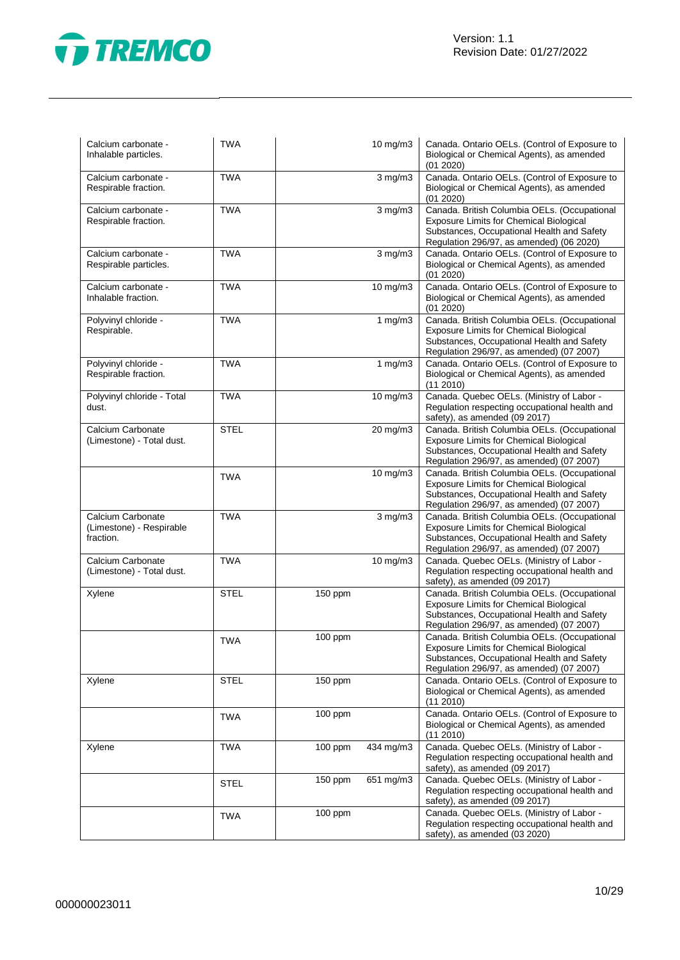

| Calcium carbonate -<br>Inhalable particles.                | <b>TWA</b>  |           | 10 mg/m3          | Canada. Ontario OELs. (Control of Exposure to<br>Biological or Chemical Agents), as amended<br>(01 2020)                                                                                 |
|------------------------------------------------------------|-------------|-----------|-------------------|------------------------------------------------------------------------------------------------------------------------------------------------------------------------------------------|
| Calcium carbonate -<br>Respirable fraction.                | <b>TWA</b>  |           | $3$ mg/m $3$      | Canada. Ontario OELs. (Control of Exposure to<br>Biological or Chemical Agents), as amended<br>(01 2020)                                                                                 |
| Calcium carbonate -<br>Respirable fraction.                | <b>TWA</b>  |           | $3$ mg/m $3$      | Canada. British Columbia OELs. (Occupational<br><b>Exposure Limits for Chemical Biological</b><br>Substances, Occupational Health and Safety<br>Regulation 296/97, as amended) (06 2020) |
| Calcium carbonate -<br>Respirable particles.               | <b>TWA</b>  |           | $3$ mg/m $3$      | Canada. Ontario OELs. (Control of Exposure to<br>Biological or Chemical Agents), as amended<br>(01 2020)                                                                                 |
| Calcium carbonate -<br>Inhalable fraction.                 | <b>TWA</b>  |           | $10$ mg/m $3$     | Canada. Ontario OELs. (Control of Exposure to<br>Biological or Chemical Agents), as amended<br>(01 2020)                                                                                 |
| Polyvinyl chloride -<br>Respirable.                        | <b>TWA</b>  |           | 1 $mg/m3$         | Canada. British Columbia OELs. (Occupational<br><b>Exposure Limits for Chemical Biological</b><br>Substances, Occupational Health and Safety<br>Regulation 296/97, as amended) (07 2007) |
| Polyvinyl chloride -<br>Respirable fraction.               | <b>TWA</b>  |           | 1 $mg/m3$         | Canada. Ontario OELs. (Control of Exposure to<br>Biological or Chemical Agents), as amended<br>(112010)                                                                                  |
| Polyvinyl chloride - Total<br>dust.                        | <b>TWA</b>  |           | $10 \text{ mg/m}$ | Canada. Quebec OELs. (Ministry of Labor -<br>Regulation respecting occupational health and<br>safety), as amended (09 2017)                                                              |
| Calcium Carbonate<br>(Limestone) - Total dust.             | <b>STEL</b> |           | 20 mg/m3          | Canada. British Columbia OELs. (Occupational<br><b>Exposure Limits for Chemical Biological</b><br>Substances, Occupational Health and Safety<br>Regulation 296/97, as amended) (07 2007) |
|                                                            | <b>TWA</b>  |           | 10 mg/m3          | Canada. British Columbia OELs. (Occupational<br><b>Exposure Limits for Chemical Biological</b><br>Substances, Occupational Health and Safety<br>Regulation 296/97, as amended) (07 2007) |
| Calcium Carbonate<br>(Limestone) - Respirable<br>fraction. | <b>TWA</b>  |           | $3$ mg/m $3$      | Canada. British Columbia OELs. (Occupational<br>Exposure Limits for Chemical Biological<br>Substances, Occupational Health and Safety<br>Regulation 296/97, as amended) (07 2007)        |
| Calcium Carbonate<br>(Limestone) - Total dust.             | <b>TWA</b>  |           | $10$ mg/m $3$     | Canada. Quebec OELs. (Ministry of Labor -<br>Regulation respecting occupational health and<br>safety), as amended (09 2017)                                                              |
| Xylene                                                     | <b>STEL</b> | 150 ppm   |                   | Canada. British Columbia OELs. (Occupational<br><b>Exposure Limits for Chemical Biological</b><br>Substances, Occupational Health and Safety<br>Regulation 296/97, as amended) (07 2007) |
|                                                            | <b>TWA</b>  | $100$ ppm |                   | Canada. British Columbia OELs. (Occupational<br>Exposure Limits for Chemical Biological<br>Substances, Occupational Health and Safety<br>Regulation 296/97, as amended) (07 2007)        |
| Xylene                                                     | <b>STEL</b> | 150 ppm   |                   | Canada. Ontario OELs. (Control of Exposure to<br>Biological or Chemical Agents), as amended<br>(11 2010)                                                                                 |
|                                                            | <b>TWA</b>  | 100 ppm   |                   | Canada. Ontario OELs. (Control of Exposure to<br>Biological or Chemical Agents), as amended<br>(11 2010)                                                                                 |
| Xylene                                                     | <b>TWA</b>  | 100 ppm   | 434 mg/m3         | Canada. Quebec OELs. (Ministry of Labor -<br>Regulation respecting occupational health and<br>safety), as amended (09 2017)                                                              |
|                                                            | <b>STEL</b> | 150 ppm   | 651 mg/m3         | Canada. Quebec OELs. (Ministry of Labor -<br>Regulation respecting occupational health and<br>safety), as amended (09 2017)                                                              |
|                                                            | <b>TWA</b>  | 100 ppm   |                   | Canada. Quebec OELs. (Ministry of Labor -<br>Regulation respecting occupational health and<br>safety), as amended (03 2020)                                                              |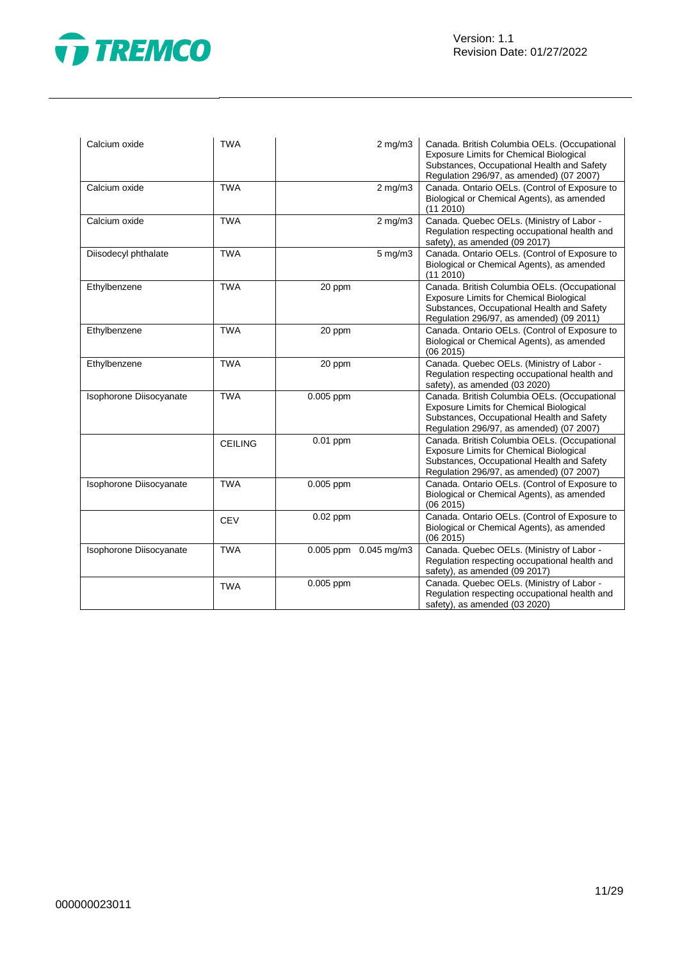

| Calcium oxide           | <b>TWA</b>     | $2$ mg/m $3$          | Canada. British Columbia OELs. (Occupational<br>Exposure Limits for Chemical Biological<br>Substances, Occupational Health and Safety<br>Regulation 296/97, as amended) (07 2007)        |
|-------------------------|----------------|-----------------------|------------------------------------------------------------------------------------------------------------------------------------------------------------------------------------------|
| Calcium oxide           | <b>TWA</b>     | $2$ mg/m $3$          | Canada. Ontario OELs. (Control of Exposure to<br>Biological or Chemical Agents), as amended<br>(112010)                                                                                  |
| Calcium oxide           | <b>TWA</b>     | $2$ mg/m $3$          | Canada. Quebec OELs. (Ministry of Labor -<br>Regulation respecting occupational health and<br>safety), as amended (09 2017)                                                              |
| Diisodecyl phthalate    | <b>TWA</b>     | $5$ mg/m $3$          | Canada. Ontario OELs. (Control of Exposure to<br>Biological or Chemical Agents), as amended<br>(112010)                                                                                  |
| Ethylbenzene            | <b>TWA</b>     | 20 ppm                | Canada. British Columbia OELs. (Occupational<br><b>Exposure Limits for Chemical Biological</b><br>Substances, Occupational Health and Safety<br>Regulation 296/97, as amended) (09 2011) |
| Ethylbenzene            | <b>TWA</b>     | 20 ppm                | Canada. Ontario OELs. (Control of Exposure to<br>Biological or Chemical Agents), as amended<br>(062015)                                                                                  |
| Ethylbenzene            | <b>TWA</b>     | 20 ppm                | Canada. Quebec OELs. (Ministry of Labor -<br>Regulation respecting occupational health and<br>safety), as amended (03 2020)                                                              |
| Isophorone Diisocyanate | <b>TWA</b>     | 0.005 ppm             | Canada. British Columbia OELs. (Occupational<br><b>Exposure Limits for Chemical Biological</b><br>Substances, Occupational Health and Safety<br>Regulation 296/97, as amended) (07 2007) |
|                         | <b>CEILING</b> | $0.01$ ppm            | Canada. British Columbia OELs. (Occupational<br>Exposure Limits for Chemical Biological<br>Substances, Occupational Health and Safety<br>Regulation 296/97, as amended) (07 2007)        |
| Isophorone Diisocyanate | <b>TWA</b>     | 0.005 ppm             | Canada. Ontario OELs. (Control of Exposure to<br>Biological or Chemical Agents), as amended<br>(062015)                                                                                  |
|                         | <b>CEV</b>     | $0.02$ ppm            | Canada. Ontario OELs. (Control of Exposure to<br>Biological or Chemical Agents), as amended<br>(062015)                                                                                  |
| Isophorone Diisocyanate | <b>TWA</b>     | 0.005 ppm 0.045 mg/m3 | Canada. Quebec OELs. (Ministry of Labor -<br>Regulation respecting occupational health and<br>safety), as amended (09 2017)                                                              |
|                         | <b>TWA</b>     | 0.005 ppm             | Canada. Quebec OELs. (Ministry of Labor -<br>Regulation respecting occupational health and<br>safety), as amended (03 2020)                                                              |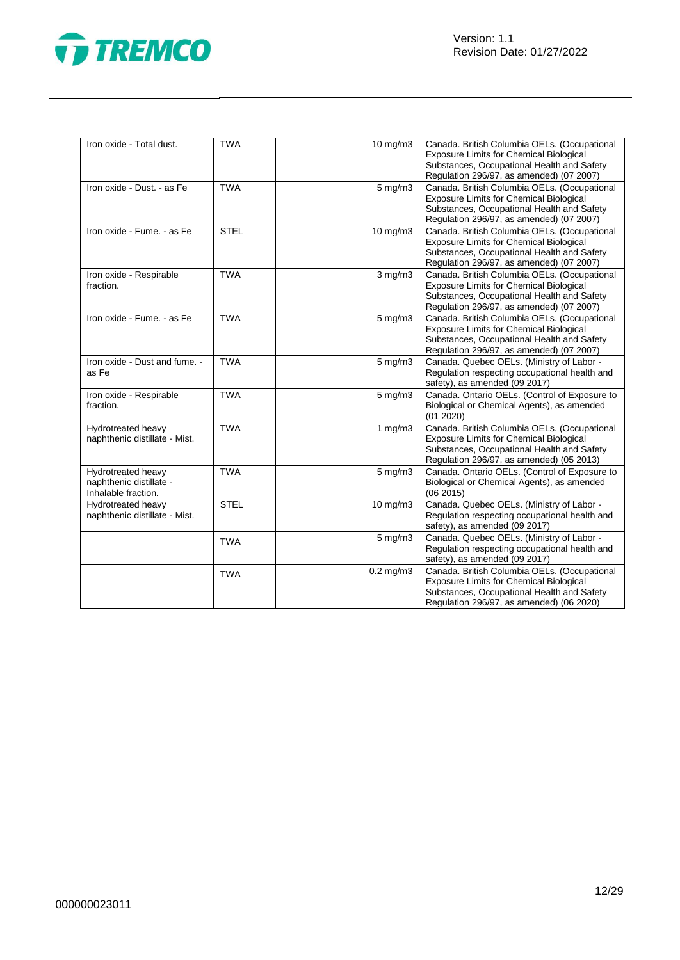

| Iron oxide - Total dust.                                             | <b>TWA</b>  | 10 mg/m3         | Canada. British Columbia OELs. (Occupational<br>Exposure Limits for Chemical Biological<br>Substances, Occupational Health and Safety<br>Regulation 296/97, as amended) (07 2007)        |
|----------------------------------------------------------------------|-------------|------------------|------------------------------------------------------------------------------------------------------------------------------------------------------------------------------------------|
| Iron oxide - Dust. - as Fe                                           | <b>TWA</b>  | $5$ mg/m $3$     | Canada. British Columbia OELs. (Occupational<br><b>Exposure Limits for Chemical Biological</b><br>Substances, Occupational Health and Safety<br>Regulation 296/97, as amended) (07 2007) |
| Iron oxide - Fume. - as Fe                                           | <b>STEL</b> | $10$ mg/m $3$    | Canada. British Columbia OELs. (Occupational<br><b>Exposure Limits for Chemical Biological</b><br>Substances, Occupational Health and Safety<br>Regulation 296/97, as amended) (07 2007) |
| Iron oxide - Respirable<br>fraction.                                 | <b>TWA</b>  | $3$ mg/m $3$     | Canada. British Columbia OELs. (Occupational<br><b>Exposure Limits for Chemical Biological</b><br>Substances, Occupational Health and Safety<br>Regulation 296/97, as amended) (07 2007) |
| Iron oxide - Fume. - as Fe                                           | <b>TWA</b>  | $5$ mg/m $3$     | Canada. British Columbia OELs. (Occupational<br>Exposure Limits for Chemical Biological<br>Substances, Occupational Health and Safety<br>Regulation 296/97, as amended) (07 2007)        |
| Iron oxide - Dust and fume. -<br>as Fe                               | <b>TWA</b>  | $5$ mg/m $3$     | Canada. Quebec OELs. (Ministry of Labor -<br>Regulation respecting occupational health and<br>safety), as amended (09 2017)                                                              |
| Iron oxide - Respirable<br>fraction.                                 | <b>TWA</b>  | $5 \text{ mg/m}$ | Canada. Ontario OELs. (Control of Exposure to<br>Biological or Chemical Agents), as amended<br>(01 2020)                                                                                 |
| Hydrotreated heavy<br>naphthenic distillate - Mist.                  | <b>TWA</b>  | 1 $mg/m3$        | Canada. British Columbia OELs. (Occupational<br><b>Exposure Limits for Chemical Biological</b><br>Substances, Occupational Health and Safety<br>Regulation 296/97, as amended) (05 2013) |
| Hydrotreated heavy<br>naphthenic distillate -<br>Inhalable fraction. | <b>TWA</b>  | $5 \text{ mg/m}$ | Canada. Ontario OELs. (Control of Exposure to<br>Biological or Chemical Agents), as amended<br>(062015)                                                                                  |
| Hydrotreated heavy<br>naphthenic distillate - Mist.                  | <b>STEL</b> | 10 mg/m3         | Canada. Quebec OELs. (Ministry of Labor -<br>Regulation respecting occupational health and<br>safety), as amended (09 2017)                                                              |
|                                                                      | <b>TWA</b>  | $5$ mg/m $3$     | Canada. Quebec OELs. (Ministry of Labor -<br>Regulation respecting occupational health and<br>safety), as amended (09 2017)                                                              |
|                                                                      | <b>TWA</b>  | $0.2$ mg/m $3$   | Canada. British Columbia OELs. (Occupational<br>Exposure Limits for Chemical Biological<br>Substances, Occupational Health and Safety<br>Regulation 296/97, as amended) (06 2020)        |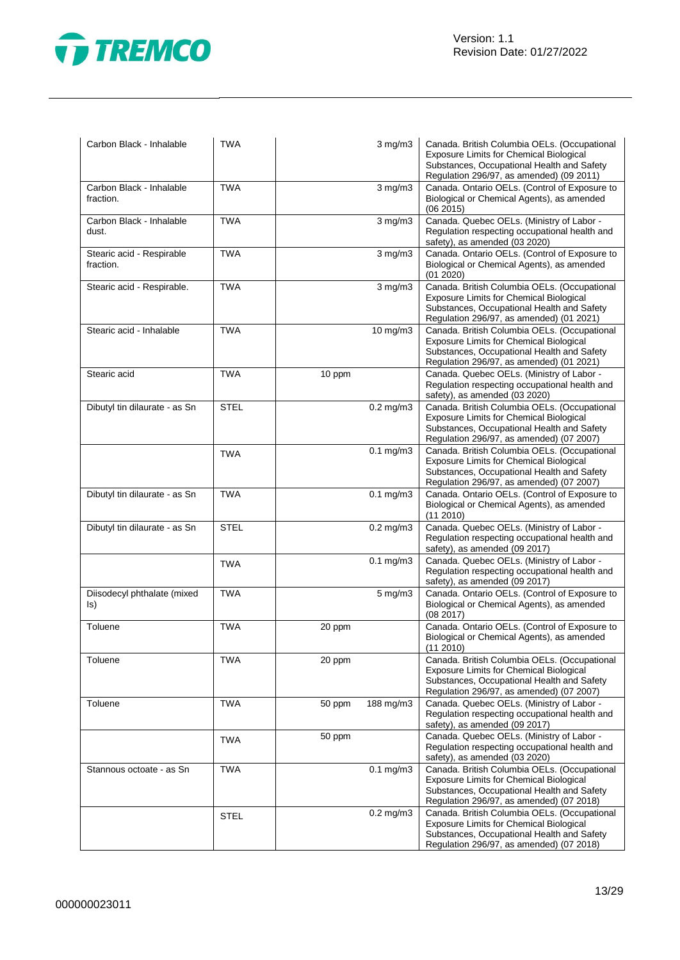

| Carbon Black - Inhalable               | <b>TWA</b>  |        | $3$ mg/m $3$           | Canada. British Columbia OELs. (Occupational<br><b>Exposure Limits for Chemical Biological</b><br>Substances, Occupational Health and Safety<br>Regulation 296/97, as amended) (09 2011) |
|----------------------------------------|-------------|--------|------------------------|------------------------------------------------------------------------------------------------------------------------------------------------------------------------------------------|
| Carbon Black - Inhalable<br>fraction.  | <b>TWA</b>  |        | $3$ mg/m $3$           | Canada. Ontario OELs. (Control of Exposure to<br>Biological or Chemical Agents), as amended<br>(062015)                                                                                  |
| Carbon Black - Inhalable<br>dust.      | <b>TWA</b>  |        | $3$ mg/m $3$           | Canada. Quebec OELs. (Ministry of Labor -<br>Regulation respecting occupational health and<br>safety), as amended (03 2020)                                                              |
| Stearic acid - Respirable<br>fraction. | <b>TWA</b>  |        | $3$ mg/m $3$           | Canada. Ontario OELs. (Control of Exposure to<br>Biological or Chemical Agents), as amended<br>(01 2020)                                                                                 |
| Stearic acid - Respirable.             | <b>TWA</b>  |        | $3$ mg/m $3$           | Canada. British Columbia OELs. (Occupational<br><b>Exposure Limits for Chemical Biological</b><br>Substances, Occupational Health and Safety<br>Regulation 296/97, as amended) (01 2021) |
| Stearic acid - Inhalable               | <b>TWA</b>  |        | 10 mg/m3               | Canada. British Columbia OELs. (Occupational<br><b>Exposure Limits for Chemical Biological</b><br>Substances, Occupational Health and Safety<br>Regulation 296/97, as amended) (01 2021) |
| Stearic acid                           | <b>TWA</b>  | 10 ppm |                        | Canada. Quebec OELs. (Ministry of Labor -<br>Regulation respecting occupational health and<br>safety), as amended (03 2020)                                                              |
| Dibutyl tin dilaurate - as Sn          | <b>STEL</b> |        | $0.2$ mg/m $3$         | Canada. British Columbia OELs. (Occupational<br><b>Exposure Limits for Chemical Biological</b><br>Substances, Occupational Health and Safety<br>Regulation 296/97, as amended) (07 2007) |
|                                        | <b>TWA</b>  |        | $0.1$ mg/m $3$         | Canada. British Columbia OELs. (Occupational<br><b>Exposure Limits for Chemical Biological</b><br>Substances, Occupational Health and Safety<br>Regulation 296/97, as amended) (07 2007) |
| Dibutyl tin dilaurate - as Sn          | <b>TWA</b>  |        | $0.1$ mg/m $3$         | Canada. Ontario OELs. (Control of Exposure to<br>Biological or Chemical Agents), as amended<br>(11 2010)                                                                                 |
| Dibutyl tin dilaurate - as Sn          | <b>STEL</b> |        | $0.2$ mg/m $3$         | Canada. Quebec OELs. (Ministry of Labor -<br>Regulation respecting occupational health and<br>safety), as amended (09 2017)                                                              |
|                                        | <b>TWA</b>  |        | $0.1$ mg/m $3$         | Canada. Quebec OELs. (Ministry of Labor -<br>Regulation respecting occupational health and<br>safety), as amended (09 2017)                                                              |
| Diisodecyl phthalate (mixed<br>ls)     | <b>TWA</b>  |        | $5 \text{ mg/m}$ 3     | Canada. Ontario OELs. (Control of Exposure to<br>Biological or Chemical Agents), as amended<br>(08 2017)                                                                                 |
| Toluene                                | <b>TWA</b>  | 20 ppm |                        | Canada. Ontario OELs. (Control of Exposure to<br>Biological or Chemical Agents), as amended<br>(11 2010)                                                                                 |
| Toluene                                | <b>TWA</b>  | 20 ppm |                        | Canada. British Columbia OELs. (Occupational<br><b>Exposure Limits for Chemical Biological</b><br>Substances, Occupational Health and Safety<br>Regulation 296/97, as amended) (07 2007) |
| Toluene                                | <b>TWA</b>  | 50 ppm | 188 mg/m3              | Canada. Quebec OELs. (Ministry of Labor -<br>Regulation respecting occupational health and<br>safety), as amended (09 2017)                                                              |
|                                        | <b>TWA</b>  | 50 ppm |                        | Canada. Quebec OELs. (Ministry of Labor -<br>Regulation respecting occupational health and<br>safety), as amended (03 2020)                                                              |
| Stannous octoate - as Sn               | <b>TWA</b>  |        | $\overline{0.1}$ mg/m3 | Canada. British Columbia OELs. (Occupational<br><b>Exposure Limits for Chemical Biological</b><br>Substances, Occupational Health and Safety<br>Regulation 296/97, as amended) (07 2018) |
|                                        | <b>STEL</b> |        | $0.2$ mg/m $3$         | Canada. British Columbia OELs. (Occupational<br><b>Exposure Limits for Chemical Biological</b><br>Substances, Occupational Health and Safety<br>Regulation 296/97, as amended) (07 2018) |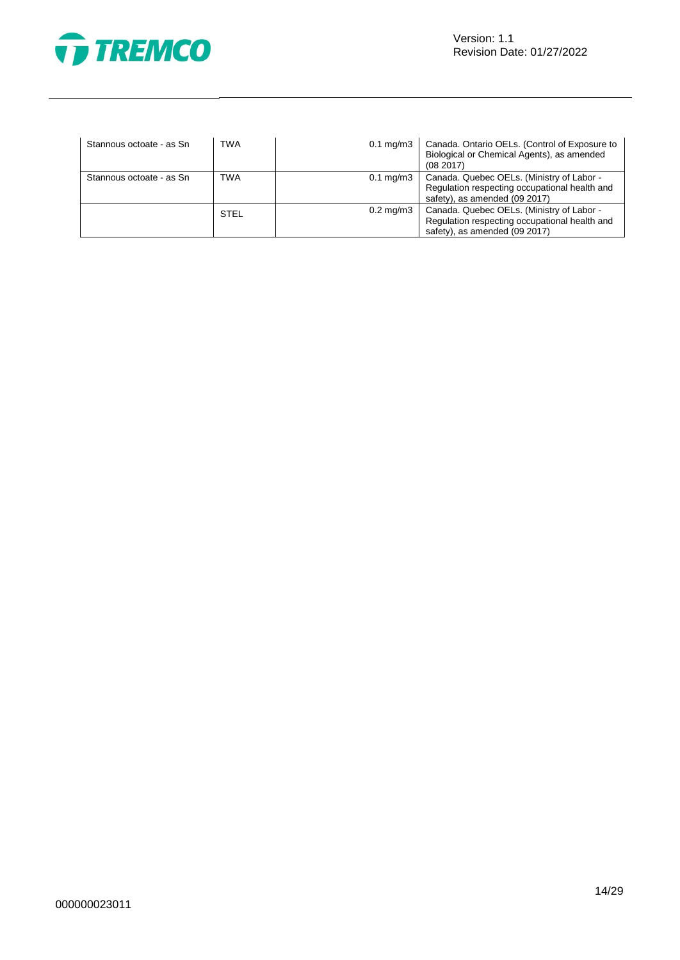

| Stannous octoate - as Sn | TWA         | $0.1 \text{ mg/m}$ 3 | Canada. Ontario OELs. (Control of Exposure to<br>Biological or Chemical Agents), as amended<br>(082017)                     |
|--------------------------|-------------|----------------------|-----------------------------------------------------------------------------------------------------------------------------|
| Stannous octoate - as Sn | <b>TWA</b>  | $0.1 \text{ mg/m}$ 3 | Canada. Quebec OELs. (Ministry of Labor -<br>Regulation respecting occupational health and<br>safety), as amended (09 2017) |
|                          | <b>STEL</b> | $0.2 \text{ mg/m}$ 3 | Canada. Quebec OELs. (Ministry of Labor -<br>Regulation respecting occupational health and<br>safety), as amended (09 2017) |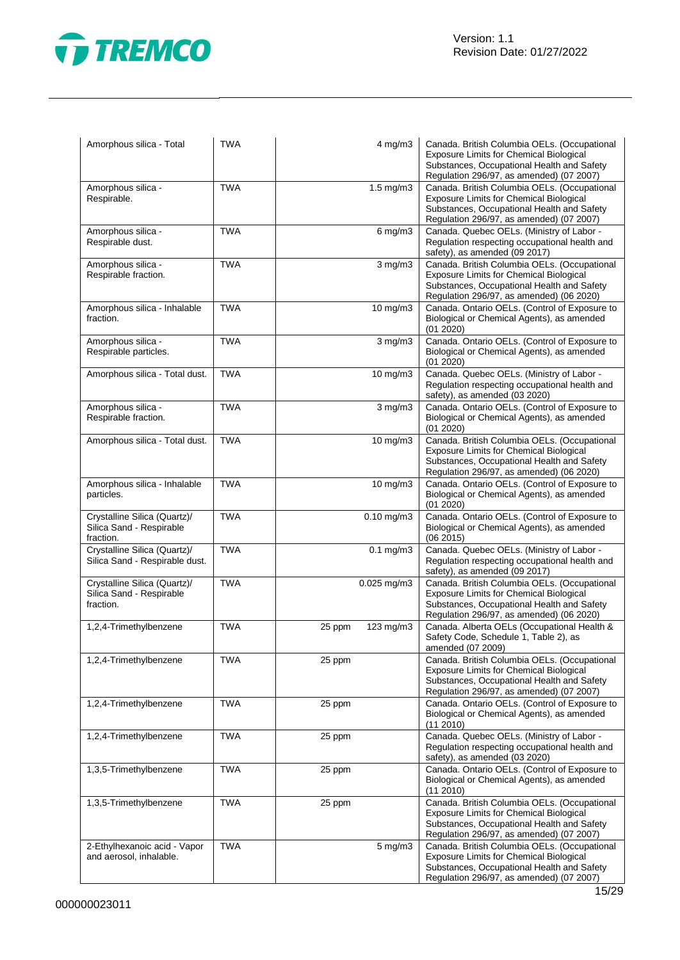

| Amorphous silica - Total                                              | <b>TWA</b> | 4 mg/m3             | Canada. British Columbia OELs. (Occupational<br><b>Exposure Limits for Chemical Biological</b><br>Substances, Occupational Health and Safety<br>Regulation 296/97, as amended) (07 2007) |
|-----------------------------------------------------------------------|------------|---------------------|------------------------------------------------------------------------------------------------------------------------------------------------------------------------------------------|
| Amorphous silica -<br>Respirable.                                     | <b>TWA</b> | $1.5$ mg/m $3$      | Canada. British Columbia OELs. (Occupational<br>Exposure Limits for Chemical Biological<br>Substances, Occupational Health and Safety<br>Regulation 296/97, as amended) (07 2007)        |
| Amorphous silica -<br>Respirable dust.                                | <b>TWA</b> | $6$ mg/m $3$        | Canada. Quebec OELs. (Ministry of Labor -<br>Regulation respecting occupational health and<br>safety), as amended (09 2017)                                                              |
| Amorphous silica -<br>Respirable fraction.                            | <b>TWA</b> | $3$ mg/m $3$        | Canada. British Columbia OELs. (Occupational<br>Exposure Limits for Chemical Biological<br>Substances, Occupational Health and Safety<br>Regulation 296/97, as amended) (06 2020)        |
| Amorphous silica - Inhalable<br>fraction.                             | <b>TWA</b> | 10 mg/m3            | Canada. Ontario OELs. (Control of Exposure to<br>Biological or Chemical Agents), as amended<br>(01 2020)                                                                                 |
| Amorphous silica -<br>Respirable particles.                           | <b>TWA</b> | $3$ mg/m $3$        | Canada. Ontario OELs. (Control of Exposure to<br>Biological or Chemical Agents), as amended<br>(01 2020)                                                                                 |
| Amorphous silica - Total dust.                                        | <b>TWA</b> | 10 mg/m3            | Canada. Quebec OELs. (Ministry of Labor -<br>Regulation respecting occupational health and<br>safety), as amended (03 2020)                                                              |
| Amorphous silica -<br>Respirable fraction.                            | <b>TWA</b> | $3$ mg/m $3$        | Canada. Ontario OELs. (Control of Exposure to<br>Biological or Chemical Agents), as amended<br>(01 2020)                                                                                 |
| Amorphous silica - Total dust.                                        | <b>TWA</b> | 10 mg/m3            | Canada. British Columbia OELs. (Occupational<br>Exposure Limits for Chemical Biological<br>Substances, Occupational Health and Safety<br>Regulation 296/97, as amended) (06 2020)        |
| Amorphous silica - Inhalable<br>particles.                            | <b>TWA</b> | 10 mg/m3            | Canada. Ontario OELs. (Control of Exposure to<br>Biological or Chemical Agents), as amended<br>(01 2020)                                                                                 |
| Crystalline Silica (Quartz)/<br>Silica Sand - Respirable<br>fraction. | <b>TWA</b> | $0.10$ mg/m $3$     | Canada. Ontario OELs. (Control of Exposure to<br>Biological or Chemical Agents), as amended<br>(06 2015)                                                                                 |
| Crystalline Silica (Quartz)/<br>Silica Sand - Respirable dust.        | <b>TWA</b> | $0.1$ mg/m $3$      | Canada. Quebec OELs. (Ministry of Labor -<br>Regulation respecting occupational health and<br>safety), as amended (09 2017)                                                              |
| Crystalline Silica (Quartz)/<br>Silica Sand - Respirable<br>fraction. | <b>TWA</b> | $0.025$ mg/m $3$    | Canada. British Columbia OELs. (Occupational<br><b>Exposure Limits for Chemical Biological</b><br>Substances, Occupational Health and Safety<br>Regulation 296/97, as amended) (06 2020) |
| 1,2,4-Trimethylbenzene                                                | <b>TWA</b> | 25 ppm<br>123 mg/m3 | Canada. Alberta OELs (Occupational Health &<br>Safety Code, Schedule 1, Table 2), as<br>amended (07 2009)                                                                                |
| 1,2,4-Trimethylbenzene                                                | <b>TWA</b> | 25 ppm              | Canada. British Columbia OELs. (Occupational<br><b>Exposure Limits for Chemical Biological</b><br>Substances, Occupational Health and Safety<br>Regulation 296/97, as amended) (07 2007) |
| 1,2,4-Trimethylbenzene                                                | <b>TWA</b> | 25 ppm              | Canada. Ontario OELs. (Control of Exposure to<br>Biological or Chemical Agents), as amended<br>(11 2010)                                                                                 |
| 1,2,4-Trimethylbenzene                                                | <b>TWA</b> | 25 ppm              | Canada. Quebec OELs. (Ministry of Labor -<br>Regulation respecting occupational health and<br>safety), as amended (03 2020)                                                              |
| 1,3,5-Trimethylbenzene                                                | <b>TWA</b> | 25 ppm              | Canada. Ontario OELs. (Control of Exposure to<br>Biological or Chemical Agents), as amended<br>(11 2010)                                                                                 |
| 1,3,5-Trimethylbenzene                                                | <b>TWA</b> | 25 ppm              | Canada. British Columbia OELs. (Occupational<br><b>Exposure Limits for Chemical Biological</b><br>Substances, Occupational Health and Safety<br>Regulation 296/97, as amended) (07 2007) |
| 2-Ethylhexanoic acid - Vapor<br>and aerosol, inhalable.               | <b>TWA</b> | $5$ mg/m $3$        | Canada. British Columbia OELs. (Occupational<br><b>Exposure Limits for Chemical Biological</b><br>Substances, Occupational Health and Safety<br>Regulation 296/97, as amended) (07 2007) |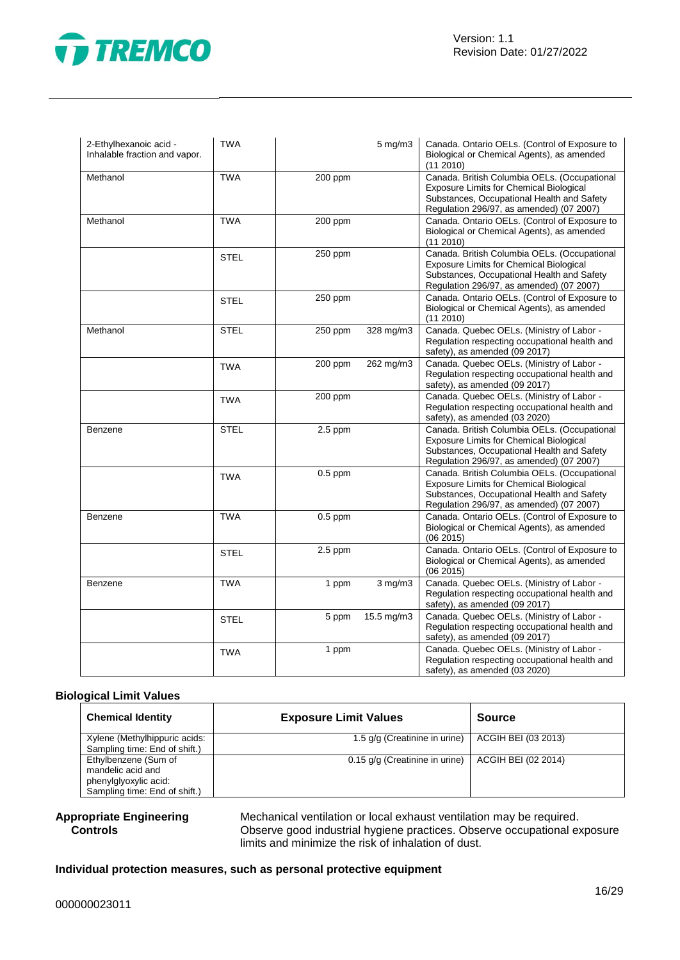



| 2-Ethylhexanoic acid -<br>Inhalable fraction and vapor. | <b>TWA</b>  |           | $5$ mg/m $3$ | Canada. Ontario OELs. (Control of Exposure to<br>Biological or Chemical Agents), as amended<br>(11 2010)                                                                                 |
|---------------------------------------------------------|-------------|-----------|--------------|------------------------------------------------------------------------------------------------------------------------------------------------------------------------------------------|
| Methanol                                                | <b>TWA</b>  | 200 ppm   |              | Canada. British Columbia OELs. (Occupational<br>Exposure Limits for Chemical Biological<br>Substances, Occupational Health and Safety<br>Regulation 296/97, as amended) (07 2007)        |
| Methanol                                                | <b>TWA</b>  | 200 ppm   |              | Canada. Ontario OELs. (Control of Exposure to<br>Biological or Chemical Agents), as amended<br>$(11\ 2010)$                                                                              |
|                                                         | <b>STEL</b> | 250 ppm   |              | Canada. British Columbia OELs. (Occupational<br>Exposure Limits for Chemical Biological<br>Substances, Occupational Health and Safety<br>Regulation 296/97, as amended) (07 2007)        |
|                                                         | <b>STEL</b> | 250 ppm   |              | Canada. Ontario OELs. (Control of Exposure to<br>Biological or Chemical Agents), as amended<br>(112010)                                                                                  |
| Methanol                                                | <b>STEL</b> | 250 ppm   | 328 mg/m3    | Canada. Quebec OELs. (Ministry of Labor -<br>Regulation respecting occupational health and<br>safety), as amended (09 2017)                                                              |
|                                                         | <b>TWA</b>  | 200 ppm   | 262 mg/m3    | Canada. Quebec OELs. (Ministry of Labor -<br>Regulation respecting occupational health and<br>safety), as amended (09 2017)                                                              |
|                                                         | <b>TWA</b>  | 200 ppm   |              | Canada. Quebec OELs. (Ministry of Labor -<br>Regulation respecting occupational health and<br>safety), as amended (03 2020)                                                              |
| Benzene                                                 | <b>STEL</b> | $2.5$ ppm |              | Canada. British Columbia OELs. (Occupational<br>Exposure Limits for Chemical Biological<br>Substances, Occupational Health and Safety<br>Regulation 296/97, as amended) (07 2007)        |
|                                                         | <b>TWA</b>  | $0.5$ ppm |              | Canada. British Columbia OELs. (Occupational<br><b>Exposure Limits for Chemical Biological</b><br>Substances, Occupational Health and Safety<br>Regulation 296/97, as amended) (07 2007) |
| Benzene                                                 | <b>TWA</b>  | $0.5$ ppm |              | Canada. Ontario OELs. (Control of Exposure to<br>Biological or Chemical Agents), as amended<br>(062015)                                                                                  |
|                                                         | <b>STEL</b> | $2.5$ ppm |              | Canada. Ontario OELs. (Control of Exposure to<br>Biological or Chemical Agents), as amended<br>(06 2015)                                                                                 |
| Benzene                                                 | <b>TWA</b>  | 1 ppm     | $3$ mg/m $3$ | Canada. Quebec OELs. (Ministry of Labor -<br>Regulation respecting occupational health and<br>safety), as amended (09 2017)                                                              |
|                                                         | <b>STEL</b> | 5 ppm     | 15.5 mg/m3   | Canada. Quebec OELs. (Ministry of Labor -<br>Regulation respecting occupational health and<br>safety), as amended (09 2017)                                                              |
|                                                         | <b>TWA</b>  | 1 ppm     |              | Canada. Quebec OELs. (Ministry of Labor -<br>Regulation respecting occupational health and<br>safety), as amended (03 2020)                                                              |

#### **Biological Limit Values**

| <b>Chemical Identity</b>      | <b>Exposure Limit Values</b>   | <b>Source</b>       |
|-------------------------------|--------------------------------|---------------------|
| Xylene (Methylhippuric acids: | 1.5 g/g (Creatinine in urine)  | ACGIH BEI (03 2013) |
| Sampling time: End of shift.) |                                |                     |
| Ethylbenzene (Sum of          | 0.15 g/g (Creatinine in urine) | ACGIH BEI (02 2014) |
| mandelic acid and             |                                |                     |
| phenylglyoxylic acid:         |                                |                     |
| Sampling time: End of shift.) |                                |                     |

#### **Appropriate Engineering Controls**

Mechanical ventilation or local exhaust ventilation may be required. Observe good industrial hygiene practices. Observe occupational exposure limits and minimize the risk of inhalation of dust.

#### **Individual protection measures, such as personal protective equipment**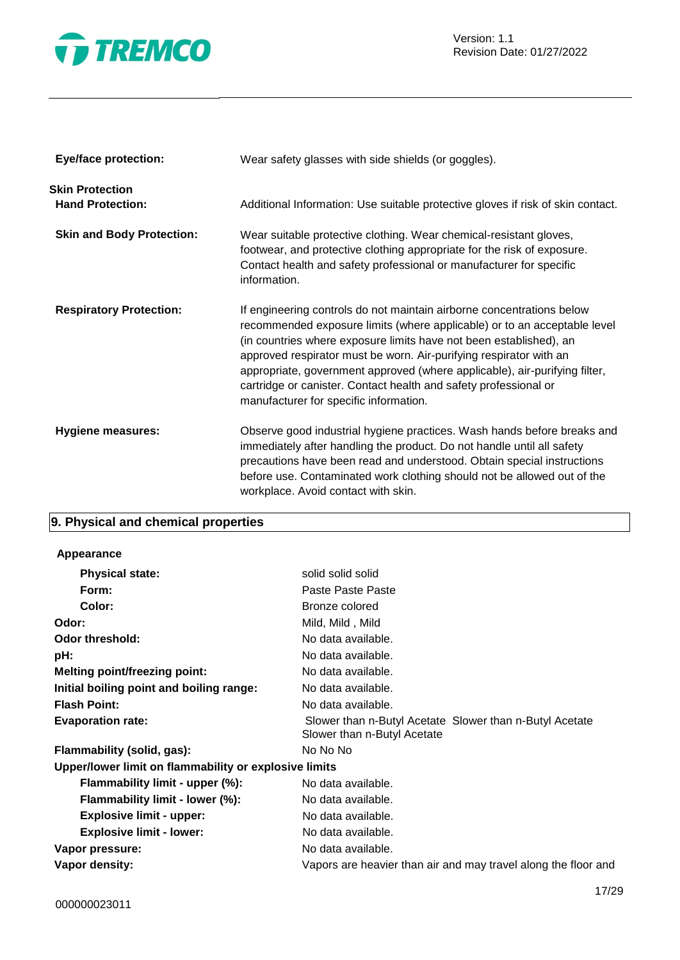

| <b>Eye/face protection:</b>                       | Wear safety glasses with side shields (or goggles).                                                                                                                                                                                                                                                                                                                                                                                                                                       |
|---------------------------------------------------|-------------------------------------------------------------------------------------------------------------------------------------------------------------------------------------------------------------------------------------------------------------------------------------------------------------------------------------------------------------------------------------------------------------------------------------------------------------------------------------------|
| <b>Skin Protection</b><br><b>Hand Protection:</b> | Additional Information: Use suitable protective gloves if risk of skin contact.                                                                                                                                                                                                                                                                                                                                                                                                           |
| <b>Skin and Body Protection:</b>                  | Wear suitable protective clothing. Wear chemical-resistant gloves,<br>footwear, and protective clothing appropriate for the risk of exposure.<br>Contact health and safety professional or manufacturer for specific<br>information.                                                                                                                                                                                                                                                      |
| <b>Respiratory Protection:</b>                    | If engineering controls do not maintain airborne concentrations below<br>recommended exposure limits (where applicable) or to an acceptable level<br>(in countries where exposure limits have not been established), an<br>approved respirator must be worn. Air-purifying respirator with an<br>appropriate, government approved (where applicable), air-purifying filter,<br>cartridge or canister. Contact health and safety professional or<br>manufacturer for specific information. |
| Hygiene measures:                                 | Observe good industrial hygiene practices. Wash hands before breaks and<br>immediately after handling the product. Do not handle until all safety<br>precautions have been read and understood. Obtain special instructions<br>before use. Contaminated work clothing should not be allowed out of the<br>workplace. Avoid contact with skin.                                                                                                                                             |

# **9. Physical and chemical properties**

| <b>Appearance</b> |
|-------------------|
|                   |

| <b>Physical state:</b>                                | solid solid solid                                                                      |
|-------------------------------------------------------|----------------------------------------------------------------------------------------|
| Form:                                                 | Paste Paste Paste                                                                      |
| Color:                                                | Bronze colored                                                                         |
| Odor:                                                 | Mild, Mild, Mild                                                                       |
| <b>Odor threshold:</b>                                | No data available.                                                                     |
| pH:                                                   | No data available.                                                                     |
| <b>Melting point/freezing point:</b>                  | No data available.                                                                     |
| Initial boiling point and boiling range:              | No data available.                                                                     |
| <b>Flash Point:</b>                                   | No data available.                                                                     |
| <b>Evaporation rate:</b>                              | Slower than n-Butyl Acetate Slower than n-Butyl Acetate<br>Slower than n-Butyl Acetate |
| Flammability (solid, gas):                            | No No No                                                                               |
| Upper/lower limit on flammability or explosive limits |                                                                                        |
| Flammability limit - upper (%):                       | No data available.                                                                     |
| Flammability limit - lower (%):                       | No data available.                                                                     |
| <b>Explosive limit - upper:</b>                       | No data available.                                                                     |
| <b>Explosive limit - lower:</b>                       | No data available.                                                                     |
| Vapor pressure:                                       | No data available.                                                                     |
| Vapor density:                                        | Vapors are heavier than air and may travel along the floor and                         |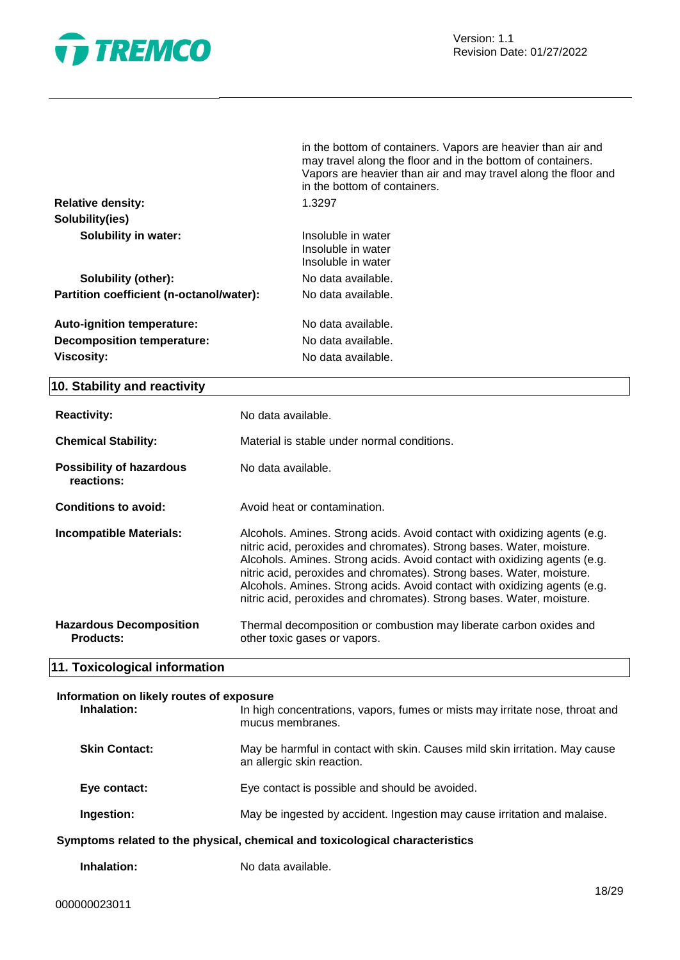

|                                          | in the bottom of containers. Vapors are heavier than air and<br>may travel along the floor and in the bottom of containers.<br>Vapors are heavier than air and may travel along the floor and<br>in the bottom of containers. |
|------------------------------------------|-------------------------------------------------------------------------------------------------------------------------------------------------------------------------------------------------------------------------------|
| <b>Relative density:</b>                 | 1.3297                                                                                                                                                                                                                        |
| Solubility(ies)                          |                                                                                                                                                                                                                               |
| <b>Solubility in water:</b>              | Insoluble in water<br>Insoluble in water<br>Insoluble in water                                                                                                                                                                |
| Solubility (other):                      | No data available.                                                                                                                                                                                                            |
| Partition coefficient (n-octanol/water): | No data available.                                                                                                                                                                                                            |
| <b>Auto-ignition temperature:</b>        | No data available.                                                                                                                                                                                                            |
| <b>Decomposition temperature:</b>        | No data available.                                                                                                                                                                                                            |
| Viscosity:                               | No data available.                                                                                                                                                                                                            |

#### **10. Stability and reactivity**

| <b>Reactivity:</b><br><b>Chemical Stability:</b><br><b>Possibility of hazardous</b><br>reactions: | No data available.<br>Material is stable under normal conditions.<br>No data available.                                                                                                                                                                                                                                                                                                                                                                        |
|---------------------------------------------------------------------------------------------------|----------------------------------------------------------------------------------------------------------------------------------------------------------------------------------------------------------------------------------------------------------------------------------------------------------------------------------------------------------------------------------------------------------------------------------------------------------------|
| Conditions to avoid:                                                                              | Avoid heat or contamination.                                                                                                                                                                                                                                                                                                                                                                                                                                   |
| <b>Incompatible Materials:</b>                                                                    | Alcohols. Amines. Strong acids. Avoid contact with oxidizing agents (e.g.<br>nitric acid, peroxides and chromates). Strong bases. Water, moisture.<br>Alcohols. Amines. Strong acids. Avoid contact with oxidizing agents (e.g.<br>nitric acid, peroxides and chromates). Strong bases. Water, moisture.<br>Alcohols. Amines. Strong acids. Avoid contact with oxidizing agents (e.g.<br>nitric acid, peroxides and chromates). Strong bases. Water, moisture. |
| <b>Hazardous Decomposition</b><br><b>Products:</b>                                                | Thermal decomposition or combustion may liberate carbon oxides and<br>other toxic gases or vapors.                                                                                                                                                                                                                                                                                                                                                             |

### **11. Toxicological information**

# **Information on likely routes of exposure Inhalation:** In high concentrations, vapors, fumes or mists may irritate nose, throat and mucus membranes. **Skin Contact:** May be harmful in contact with skin. Causes mild skin irritation. May cause an allergic skin reaction. **Eye contact:** Eye contact is possible and should be avoided. **Ingestion:** May be ingested by accident. Ingestion may cause irritation and malaise. **Symptoms related to the physical, chemical and toxicological characteristics**

**Inhalation:** No data available.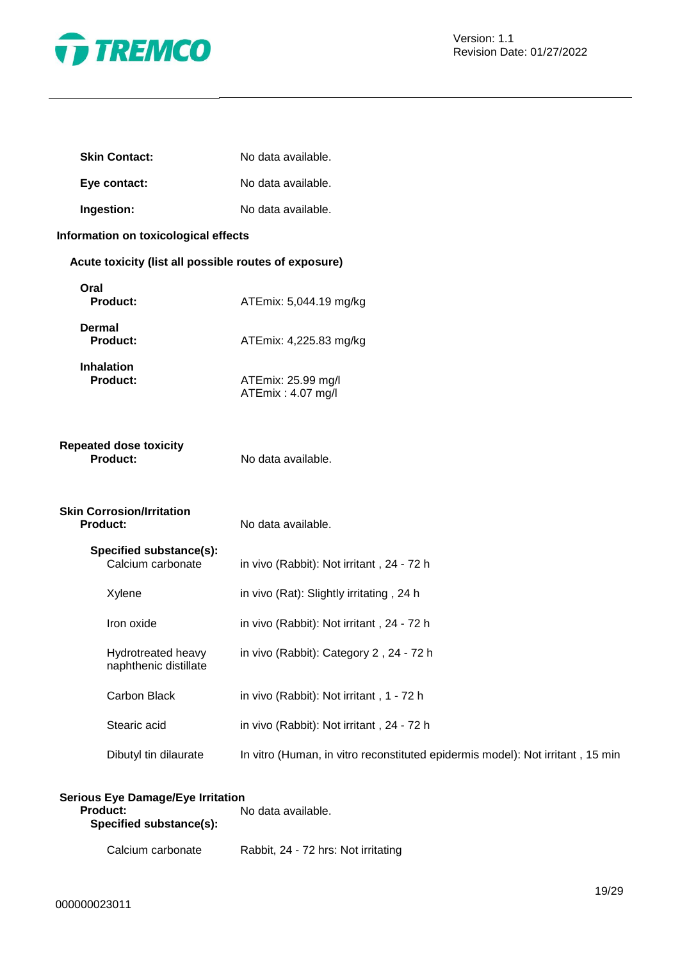

| <b>Skin Contact:</b>                                  | No data available.                                                             |
|-------------------------------------------------------|--------------------------------------------------------------------------------|
| Eye contact:                                          | No data available.                                                             |
| Ingestion:                                            | No data available.                                                             |
| Information on toxicological effects                  |                                                                                |
| Acute toxicity (list all possible routes of exposure) |                                                                                |
| Oral<br><b>Product:</b>                               | ATEmix: 5,044.19 mg/kg                                                         |
| <b>Dermal</b><br><b>Product:</b>                      | ATEmix: 4,225.83 mg/kg                                                         |
| <b>Inhalation</b><br><b>Product:</b>                  | ATEmix: 25.99 mg/l<br>ATEmix: 4.07 mg/l                                        |
| <b>Repeated dose toxicity</b><br><b>Product:</b>      | No data available.                                                             |
| <b>Skin Corrosion/Irritation</b><br><b>Product:</b>   | No data available.                                                             |
| Specified substance(s):<br>Calcium carbonate          | in vivo (Rabbit): Not irritant, 24 - 72 h                                      |
| Xylene                                                | in vivo (Rat): Slightly irritating, 24 h                                       |
| Iron oxide                                            | in vivo (Rabbit): Not irritant, 24 - 72 h                                      |
| Hydrotreated heavy<br>naphthenic distillate           | in vivo (Rabbit): Category 2, 24 - 72 h                                        |
| Carbon Black                                          | in vivo (Rabbit): Not irritant, 1 - 72 h                                       |
| Stearic acid                                          | in vivo (Rabbit): Not irritant, 24 - 72 h                                      |
| Dibutyl tin dilaurate                                 | In vitro (Human, in vitro reconstituted epidermis model): Not irritant, 15 min |

| <b>Serious Eye Damage/Eye Irritation</b>   |                                     |
|--------------------------------------------|-------------------------------------|
| <b>Product:</b><br>Specified substance(s): | No data available.                  |
| Calcium carbonate                          | Rabbit, 24 - 72 hrs: Not irritating |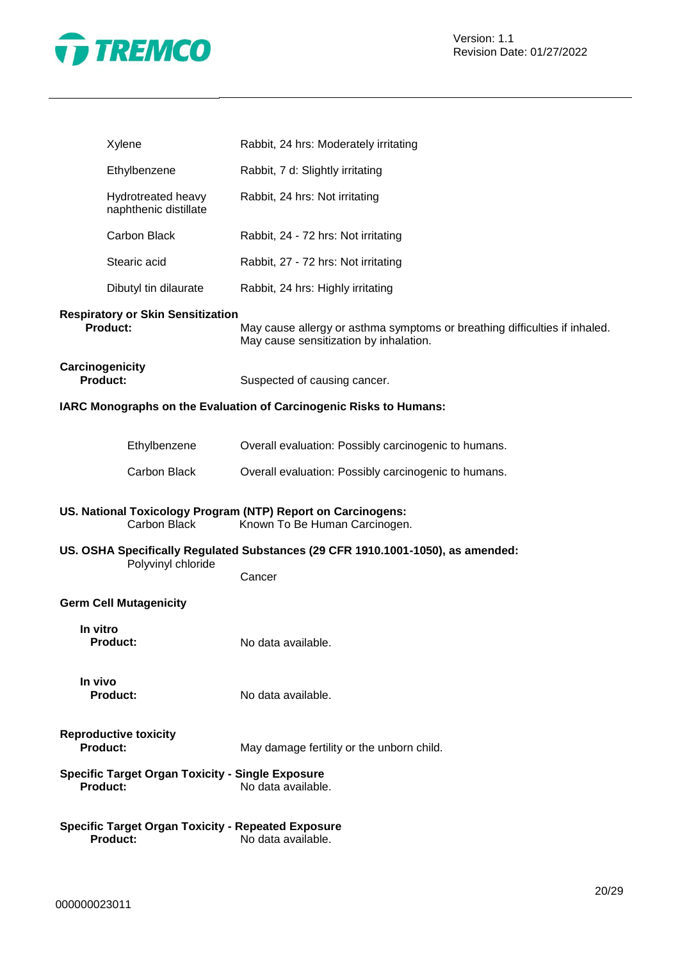

| Xylene                                                                       | Rabbit, 24 hrs: Moderately irritating                                                                                |
|------------------------------------------------------------------------------|----------------------------------------------------------------------------------------------------------------------|
| Ethylbenzene                                                                 | Rabbit, 7 d: Slightly irritating                                                                                     |
| Hydrotreated heavy<br>naphthenic distillate                                  | Rabbit, 24 hrs: Not irritating                                                                                       |
| Carbon Black                                                                 | Rabbit, 24 - 72 hrs: Not irritating                                                                                  |
| Stearic acid                                                                 | Rabbit, 27 - 72 hrs: Not irritating                                                                                  |
| Dibutyl tin dilaurate                                                        | Rabbit, 24 hrs: Highly irritating                                                                                    |
| <b>Respiratory or Skin Sensitization</b><br><b>Product:</b>                  | May cause allergy or asthma symptoms or breathing difficulties if inhaled.<br>May cause sensitization by inhalation. |
| Carcinogenicity<br><b>Product:</b>                                           | Suspected of causing cancer.                                                                                         |
|                                                                              | IARC Monographs on the Evaluation of Carcinogenic Risks to Humans:                                                   |
| Ethylbenzene                                                                 | Overall evaluation: Possibly carcinogenic to humans.                                                                 |
| Carbon Black                                                                 | Overall evaluation: Possibly carcinogenic to humans.                                                                 |
| Carbon Black                                                                 | US. National Toxicology Program (NTP) Report on Carcinogens:<br>Known To Be Human Carcinogen.                        |
| Polyvinyl chloride                                                           | US. OSHA Specifically Regulated Substances (29 CFR 1910.1001-1050), as amended:<br>Cancer                            |
| <b>Germ Cell Mutagenicity</b>                                                |                                                                                                                      |
| In vitro<br><b>Product:</b>                                                  | No data available.                                                                                                   |
| In vivo<br><b>Product:</b>                                                   | No data available.                                                                                                   |
| <b>Reproductive toxicity</b><br><b>Product:</b>                              | May damage fertility or the unborn child.                                                                            |
| <b>Specific Target Organ Toxicity - Single Exposure</b><br><b>Product:</b>   | No data available.                                                                                                   |
| <b>Specific Target Organ Toxicity - Repeated Exposure</b><br><b>Product:</b> | No data available.                                                                                                   |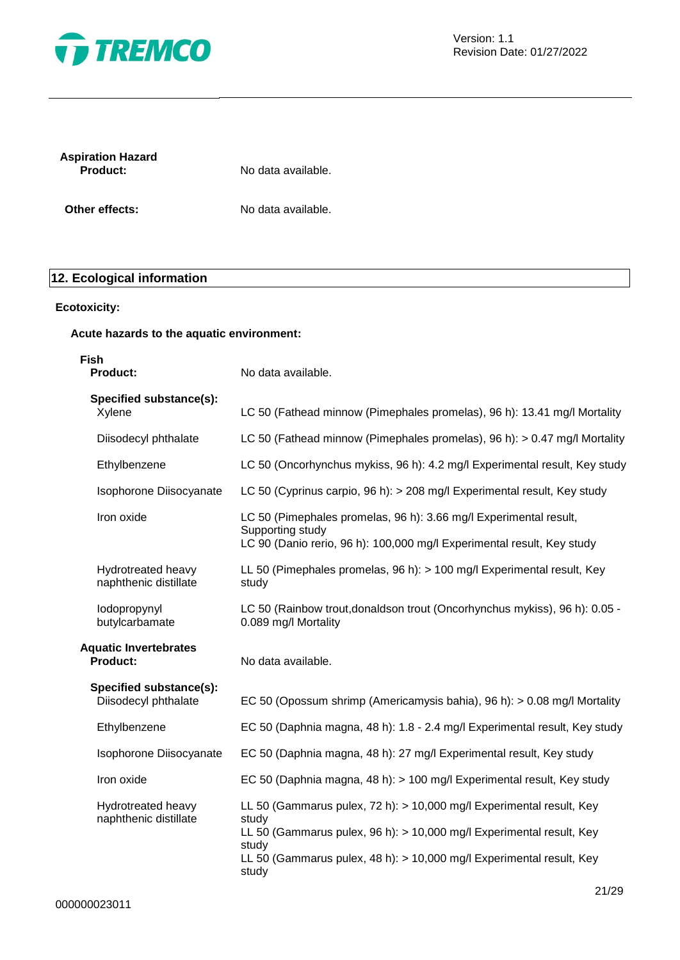

| <b>Aspiration Hazard</b> |  |
|--------------------------|--|
| <b>Product:</b>          |  |

**Product:** No data available.

**Other effects:** No data available.

# **12. Ecological information**

#### **Ecotoxicity:**

#### **Acute hazards to the aquatic environment:**

| Fish<br><b>Product:</b>                         | No data available.                                                                                                                                                                                                                              |
|-------------------------------------------------|-------------------------------------------------------------------------------------------------------------------------------------------------------------------------------------------------------------------------------------------------|
| Specified substance(s):<br>Xylene               | LC 50 (Fathead minnow (Pimephales promelas), 96 h): 13.41 mg/l Mortality                                                                                                                                                                        |
| Diisodecyl phthalate                            | LC 50 (Fathead minnow (Pimephales promelas), 96 h): > 0.47 mg/l Mortality                                                                                                                                                                       |
| Ethylbenzene                                    | LC 50 (Oncorhynchus mykiss, 96 h): 4.2 mg/l Experimental result, Key study                                                                                                                                                                      |
| Isophorone Diisocyanate                         | LC 50 (Cyprinus carpio, 96 h): > 208 mg/l Experimental result, Key study                                                                                                                                                                        |
| Iron oxide                                      | LC 50 (Pimephales promelas, 96 h): 3.66 mg/l Experimental result,<br>Supporting study<br>LC 90 (Danio rerio, 96 h): 100,000 mg/l Experimental result, Key study                                                                                 |
| Hydrotreated heavy<br>naphthenic distillate     | LL 50 (Pimephales promelas, 96 h): > 100 mg/l Experimental result, Key<br>study                                                                                                                                                                 |
| lodopropynyl<br>butylcarbamate                  | LC 50 (Rainbow trout, donaldson trout (Oncorhynchus mykiss), 96 h): 0.05 -<br>0.089 mg/l Mortality                                                                                                                                              |
| <b>Aquatic Invertebrates</b><br><b>Product:</b> | No data available.                                                                                                                                                                                                                              |
| Specified substance(s):<br>Diisodecyl phthalate | EC 50 (Opossum shrimp (Americamysis bahia), 96 h): $> 0.08$ mg/l Mortality                                                                                                                                                                      |
| Ethylbenzene                                    | EC 50 (Daphnia magna, 48 h): 1.8 - 2.4 mg/l Experimental result, Key study                                                                                                                                                                      |
| Isophorone Diisocyanate                         | EC 50 (Daphnia magna, 48 h): 27 mg/l Experimental result, Key study                                                                                                                                                                             |
| Iron oxide                                      | EC 50 (Daphnia magna, 48 h): > 100 mg/l Experimental result, Key study                                                                                                                                                                          |
| Hydrotreated heavy<br>naphthenic distillate     | LL 50 (Gammarus pulex, 72 h): > 10,000 mg/l Experimental result, Key<br>study<br>LL 50 (Gammarus pulex, 96 h): > 10,000 mg/l Experimental result, Key<br>study<br>LL 50 (Gammarus pulex, 48 h): > 10,000 mg/l Experimental result, Key<br>study |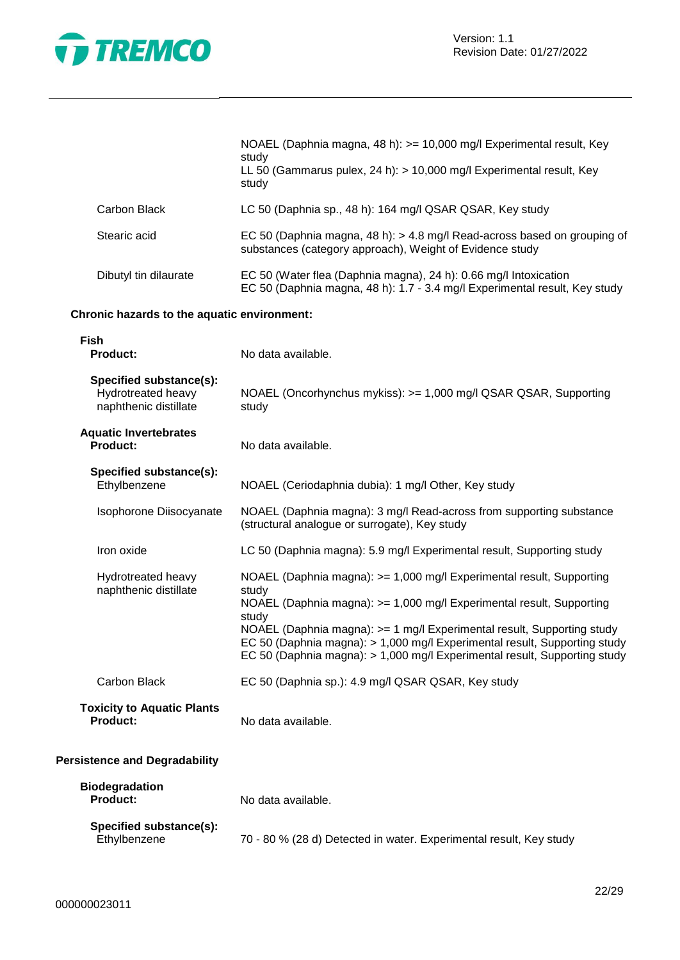

|                       | NOAEL (Daphnia magna, 48 h): >= 10,000 mg/l Experimental result, Key<br>study<br>LL 50 (Gammarus pulex, 24 h): $> 10,000$ mg/l Experimental result, Key<br>study |
|-----------------------|------------------------------------------------------------------------------------------------------------------------------------------------------------------|
| Carbon Black          | LC 50 (Daphnia sp., 48 h): 164 mg/l QSAR QSAR, Key study                                                                                                         |
| Stearic acid          | EC 50 (Daphnia magna, 48 h): > 4.8 mg/l Read-across based on grouping of<br>substances (category approach), Weight of Evidence study                             |
| Dibutyl tin dilaurate | EC 50 (Water flea (Daphnia magna), 24 h): 0.66 mg/l Intoxication<br>EC 50 (Daphnia magna, 48 h): 1.7 - 3.4 mg/l Experimental result, Key study                   |

#### **Chronic hazards to the aquatic environment:**

| <b>Fish</b><br><b>Product:</b>                                         | No data available.                                                                                                                                                                                                                                                                                                                                                                                  |
|------------------------------------------------------------------------|-----------------------------------------------------------------------------------------------------------------------------------------------------------------------------------------------------------------------------------------------------------------------------------------------------------------------------------------------------------------------------------------------------|
| Specified substance(s):<br>Hydrotreated heavy<br>naphthenic distillate | NOAEL (Oncorhynchus mykiss): >= 1,000 mg/l QSAR QSAR, Supporting<br>study                                                                                                                                                                                                                                                                                                                           |
| <b>Aquatic Invertebrates</b><br><b>Product:</b>                        | No data available.                                                                                                                                                                                                                                                                                                                                                                                  |
| Specified substance(s):<br>Ethylbenzene                                | NOAEL (Ceriodaphnia dubia): 1 mg/l Other, Key study                                                                                                                                                                                                                                                                                                                                                 |
| Isophorone Diisocyanate                                                | NOAEL (Daphnia magna): 3 mg/l Read-across from supporting substance<br>(structural analogue or surrogate), Key study                                                                                                                                                                                                                                                                                |
| Iron oxide                                                             | LC 50 (Daphnia magna): 5.9 mg/l Experimental result, Supporting study                                                                                                                                                                                                                                                                                                                               |
| Hydrotreated heavy<br>naphthenic distillate                            | NOAEL (Daphnia magna): > = 1,000 mg/l Experimental result, Supporting<br>study<br>NOAEL (Daphnia magna): >= 1,000 mg/l Experimental result, Supporting<br>study<br>NOAEL (Daphnia magna): >= 1 mg/l Experimental result, Supporting study<br>EC 50 (Daphnia magna): > 1,000 mg/l Experimental result, Supporting study<br>EC 50 (Daphnia magna): > 1,000 mg/l Experimental result, Supporting study |
| Carbon Black                                                           | EC 50 (Daphnia sp.): 4.9 mg/l QSAR QSAR, Key study                                                                                                                                                                                                                                                                                                                                                  |
| <b>Toxicity to Aquatic Plants</b><br><b>Product:</b>                   | No data available.                                                                                                                                                                                                                                                                                                                                                                                  |
| <b>Persistence and Degradability</b>                                   |                                                                                                                                                                                                                                                                                                                                                                                                     |
| <b>Biodegradation</b><br><b>Product:</b>                               | No data available.                                                                                                                                                                                                                                                                                                                                                                                  |
| Specified substance(s):<br>Ethylbenzene                                | 70 - 80 % (28 d) Detected in water. Experimental result, Key study                                                                                                                                                                                                                                                                                                                                  |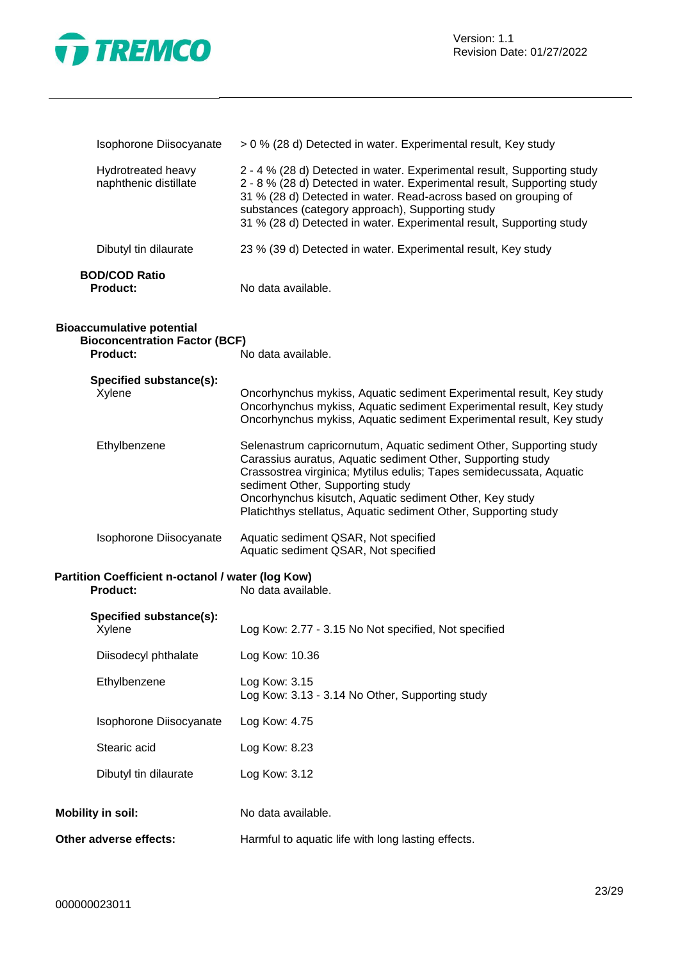

| Isophorone Diisocyanate                                                              | > 0 % (28 d) Detected in water. Experimental result, Key study                                                                                                                                                                                                                                                                                                              |
|--------------------------------------------------------------------------------------|-----------------------------------------------------------------------------------------------------------------------------------------------------------------------------------------------------------------------------------------------------------------------------------------------------------------------------------------------------------------------------|
| Hydrotreated heavy<br>naphthenic distillate                                          | 2 - 4 % (28 d) Detected in water. Experimental result, Supporting study<br>2 - 8 % (28 d) Detected in water. Experimental result, Supporting study<br>31 % (28 d) Detected in water. Read-across based on grouping of<br>substances (category approach), Supporting study<br>31 % (28 d) Detected in water. Experimental result, Supporting study                           |
| Dibutyl tin dilaurate                                                                | 23 % (39 d) Detected in water. Experimental result, Key study                                                                                                                                                                                                                                                                                                               |
| <b>BOD/COD Ratio</b><br><b>Product:</b>                                              | No data available.                                                                                                                                                                                                                                                                                                                                                          |
| <b>Bioaccumulative potential</b><br><b>Bioconcentration Factor (BCF)</b><br>Product: | No data available.                                                                                                                                                                                                                                                                                                                                                          |
|                                                                                      |                                                                                                                                                                                                                                                                                                                                                                             |
| Specified substance(s):<br>Xylene                                                    | Oncorhynchus mykiss, Aquatic sediment Experimental result, Key study<br>Oncorhynchus mykiss, Aquatic sediment Experimental result, Key study<br>Oncorhynchus mykiss, Aquatic sediment Experimental result, Key study                                                                                                                                                        |
| Ethylbenzene                                                                         | Selenastrum capricornutum, Aquatic sediment Other, Supporting study<br>Carassius auratus, Aquatic sediment Other, Supporting study<br>Crassostrea virginica; Mytilus edulis; Tapes semidecussata, Aquatic<br>sediment Other, Supporting study<br>Oncorhynchus kisutch, Aquatic sediment Other, Key study<br>Platichthys stellatus, Aquatic sediment Other, Supporting study |
| Isophorone Diisocyanate                                                              | Aquatic sediment QSAR, Not specified<br>Aquatic sediment QSAR, Not specified                                                                                                                                                                                                                                                                                                |
| Partition Coefficient n-octanol / water (log Kow)<br><b>Product:</b>                 | No data available.                                                                                                                                                                                                                                                                                                                                                          |
| Specified substance(s):                                                              |                                                                                                                                                                                                                                                                                                                                                                             |
| Xylene                                                                               | Log Kow: 2.77 - 3.15 No Not specified, Not specified                                                                                                                                                                                                                                                                                                                        |
| Diisodecyl phthalate                                                                 | Log Kow: 10.36                                                                                                                                                                                                                                                                                                                                                              |
| Ethylbenzene                                                                         | Log Kow: 3.15<br>Log Kow: 3.13 - 3.14 No Other, Supporting study                                                                                                                                                                                                                                                                                                            |
| Isophorone Diisocyanate                                                              | Log Kow: 4.75                                                                                                                                                                                                                                                                                                                                                               |
| Stearic acid                                                                         | Log Kow: 8.23                                                                                                                                                                                                                                                                                                                                                               |
| Dibutyl tin dilaurate                                                                | Log Kow: 3.12                                                                                                                                                                                                                                                                                                                                                               |
| <b>Mobility in soil:</b>                                                             | No data available.                                                                                                                                                                                                                                                                                                                                                          |

**Other adverse effects:** Harmful to aquatic life with long lasting effects.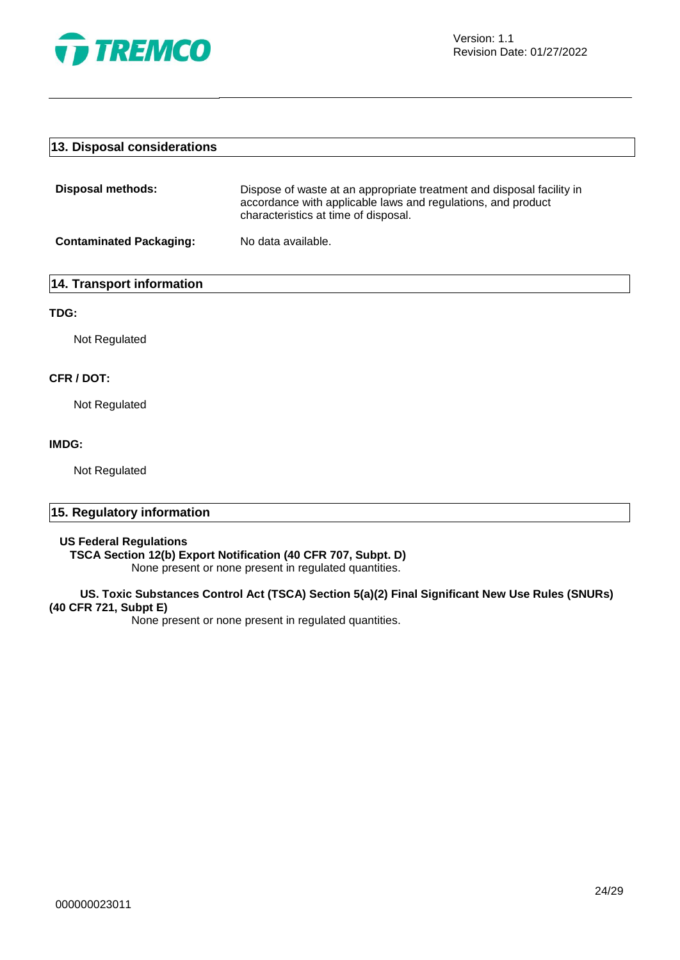

#### **13. Disposal considerations**

| Disposal methods:              | Dispose of waste at an appropriate treatment and disposal facility in<br>accordance with applicable laws and regulations, and product<br>characteristics at time of disposal. |
|--------------------------------|-------------------------------------------------------------------------------------------------------------------------------------------------------------------------------|
| <b>Contaminated Packaging:</b> | No data available.                                                                                                                                                            |

#### **14. Transport information**

#### **TDG:**

Not Regulated

#### **CFR / DOT:**

Not Regulated

#### **IMDG:**

Not Regulated

#### **15. Regulatory information**

#### **US Federal Regulations**

**TSCA Section 12(b) Export Notification (40 CFR 707, Subpt. D)**

None present or none present in regulated quantities.

#### **US. Toxic Substances Control Act (TSCA) Section 5(a)(2) Final Significant New Use Rules (SNURs) (40 CFR 721, Subpt E)**

None present or none present in regulated quantities.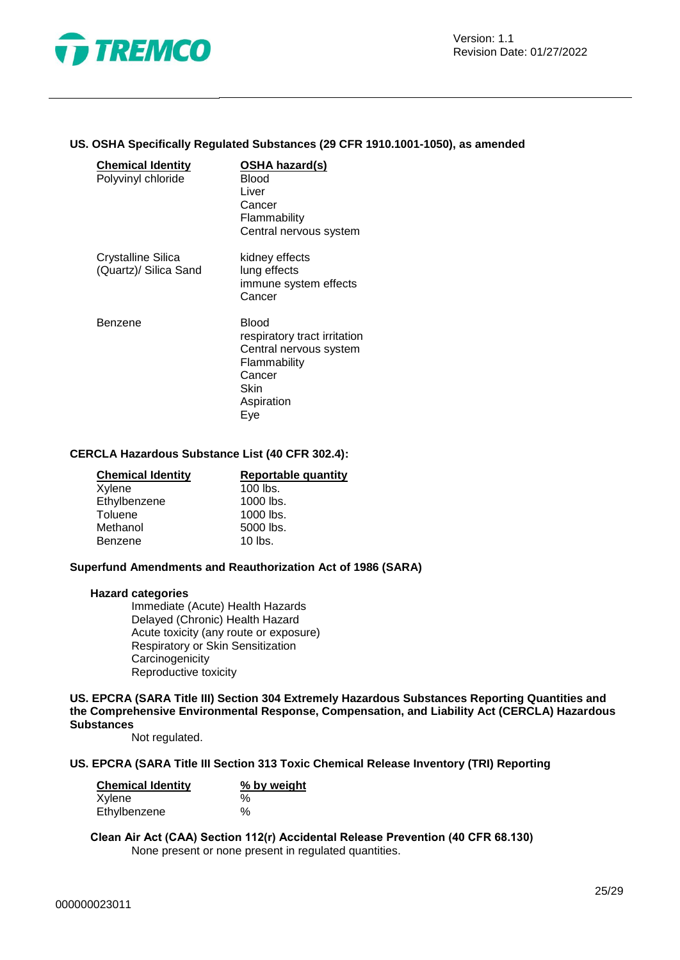

#### **US. OSHA Specifically Regulated Substances (29 CFR 1910.1001-1050), as amended**

| <b>Chemical Identity</b><br>Polyvinyl chloride | OSHA hazard(s)<br>Blood<br>Liver<br>Cancer<br>Flammability<br>Central nervous system                                          |
|------------------------------------------------|-------------------------------------------------------------------------------------------------------------------------------|
| Crystalline Silica<br>(Quartz)/ Silica Sand    | kidney effects<br>lung effects<br>immune system effects<br>Cancer                                                             |
| Benzene                                        | <b>Blood</b><br>respiratory tract irritation<br>Central nervous system<br>Flammability<br>Cancer<br>Skin<br>Aspiration<br>Eye |

#### **CERCLA Hazardous Substance List (40 CFR 302.4):**

| <b>Chemical Identity</b> | Reportable quantity |
|--------------------------|---------------------|
| Xylene                   | $100$ lbs.          |
| Ethylbenzene             | 1000 lbs.           |
| Toluene                  | 1000 lbs.           |
| Methanol                 | 5000 lbs.           |
| Benzene                  | $10$ lbs.           |

#### **Superfund Amendments and Reauthorization Act of 1986 (SARA)**

#### **Hazard categories**

Immediate (Acute) Health Hazards Delayed (Chronic) Health Hazard Acute toxicity (any route or exposure) Respiratory or Skin Sensitization **Carcinogenicity** Reproductive toxicity

**US. EPCRA (SARA Title III) Section 304 Extremely Hazardous Substances Reporting Quantities and the Comprehensive Environmental Response, Compensation, and Liability Act (CERCLA) Hazardous Substances**

Not regulated.

#### **US. EPCRA (SARA Title III Section 313 Toxic Chemical Release Inventory (TRI) Reporting**

| <b>Chemical Identity</b> | % by weight |  |
|--------------------------|-------------|--|
| Xylene                   | $\%$        |  |
| Ethylbenzene             | $\%$        |  |

**Clean Air Act (CAA) Section 112(r) Accidental Release Prevention (40 CFR 68.130)** None present or none present in regulated quantities.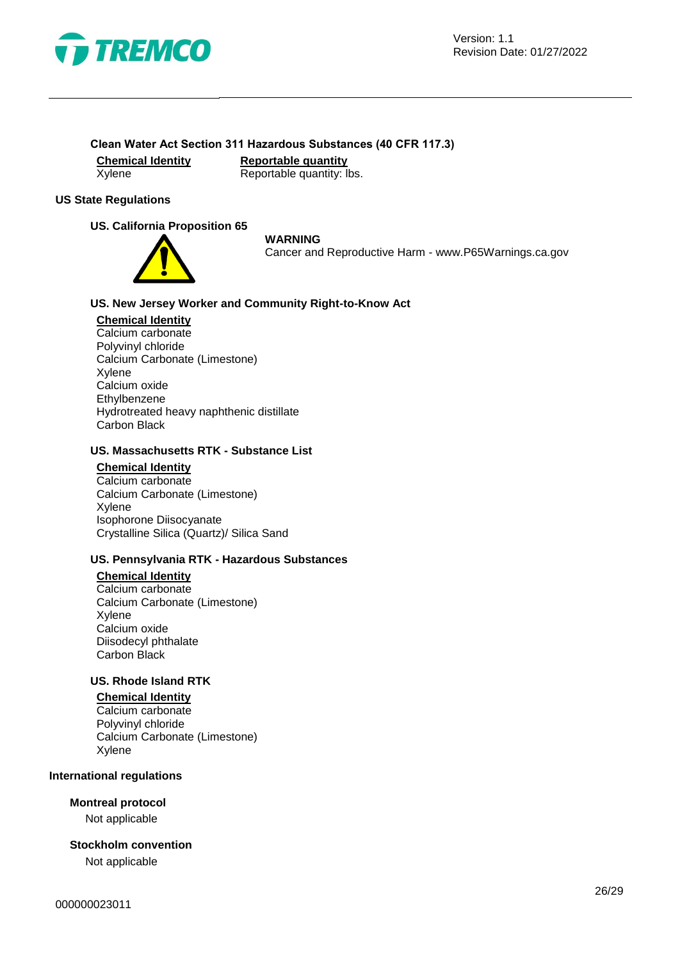

#### **Clean Water Act Section 311 Hazardous Substances (40 CFR 117.3)**

**Chemical Identity**<br> **Reportable quantity:** Reportable quantity: I  $\overline{\mathsf{Reportable} }$  quantity: lbs.

#### **US State Regulations**

#### **US. California Proposition 65**



#### **WARNING**

Cancer and Reproductive Harm - www.P65Warnings.ca.gov

#### **US. New Jersey Worker and Community Right-to-Know Act**

#### **Chemical Identity**

Calcium carbonate Polyvinyl chloride Calcium Carbonate (Limestone) Xylene Calcium oxide Ethylbenzene Hydrotreated heavy naphthenic distillate Carbon Black

#### **US. Massachusetts RTK - Substance List**

#### **Chemical Identity**

Calcium carbonate Calcium Carbonate (Limestone) Xylene Isophorone Diisocyanate Crystalline Silica (Quartz)/ Silica Sand

#### **US. Pennsylvania RTK - Hazardous Substances**

#### **Chemical Identity**

Calcium carbonate Calcium Carbonate (Limestone) Xylene Calcium oxide Diisodecyl phthalate Carbon Black

#### **US. Rhode Island RTK**

**Chemical Identity** Calcium carbonate Polyvinyl chloride Calcium Carbonate (Limestone) Xylene

#### **International regulations**

#### **Montreal protocol**

Not applicable

#### **Stockholm convention**

Not applicable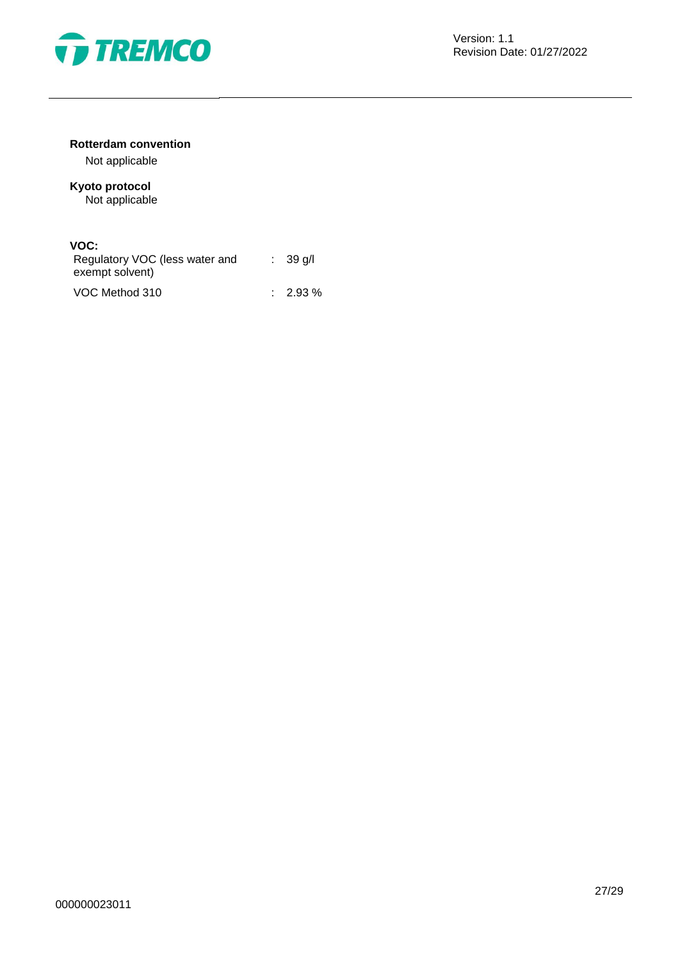

#### **Rotterdam convention**

Not applicable

# **Kyoto protocol**

Not applicable

#### **VOC:**

| Regulatory VOC (less water and<br>exempt solvent) | $\therefore$ 39 g/l |
|---------------------------------------------------|---------------------|
| VOC Method 310                                    | $2.93\%$            |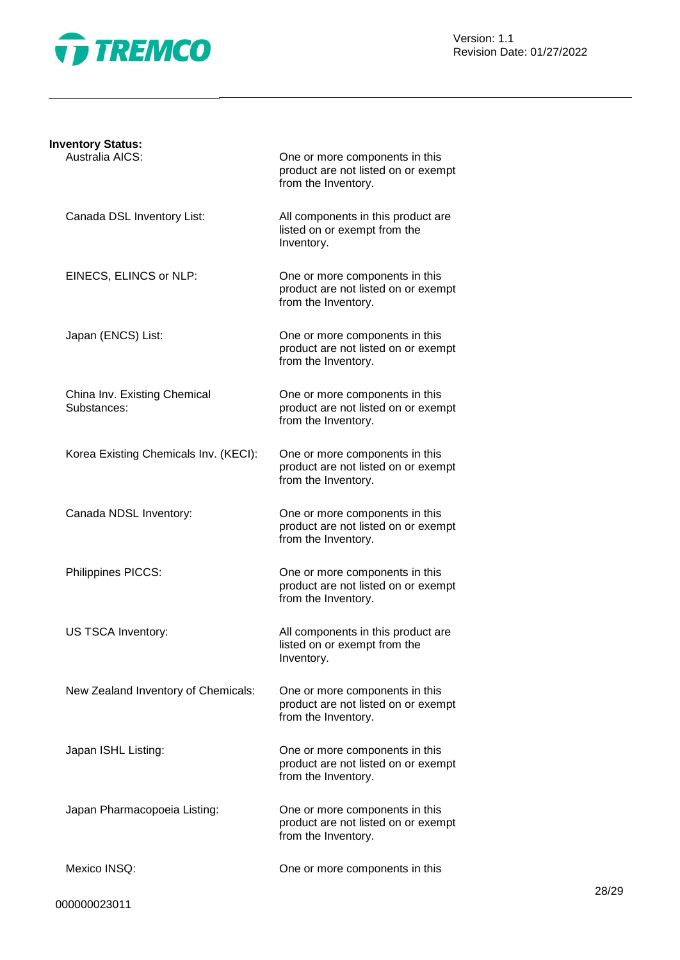

Version: 1.1 Revision Date: 01/27/2022

| <b>Inventory Status:</b>                    |                                                                                              |
|---------------------------------------------|----------------------------------------------------------------------------------------------|
| Australia AICS:                             | One or more components in this<br>product are not listed on or exempt<br>from the Inventory. |
| Canada DSL Inventory List:                  | All components in this product are<br>listed on or exempt from the<br>Inventory.             |
| EINECS, ELINCS or NLP:                      | One or more components in this<br>product are not listed on or exempt<br>from the Inventory. |
| Japan (ENCS) List:                          | One or more components in this<br>product are not listed on or exempt<br>from the Inventory. |
| China Inv. Existing Chemical<br>Substances: | One or more components in this<br>product are not listed on or exempt<br>from the Inventory. |
| Korea Existing Chemicals Inv. (KECI):       | One or more components in this<br>product are not listed on or exempt<br>from the Inventory. |
| Canada NDSL Inventory:                      | One or more components in this<br>product are not listed on or exempt<br>from the Inventory. |
| Philippines PICCS:                          | One or more components in this<br>product are not listed on or exempt<br>from the Inventory. |
| US TSCA Inventory:                          | All components in this product are<br>listed on or exempt from the<br>Inventory.             |
| New Zealand Inventory of Chemicals:         | One or more components in this<br>product are not listed on or exempt<br>from the Inventory. |
| Japan ISHL Listing:                         | One or more components in this<br>product are not listed on or exempt<br>from the Inventory. |
| Japan Pharmacopoeia Listing:                | One or more components in this<br>product are not listed on or exempt<br>from the Inventory. |
| Mexico INSQ:                                | One or more components in this                                                               |